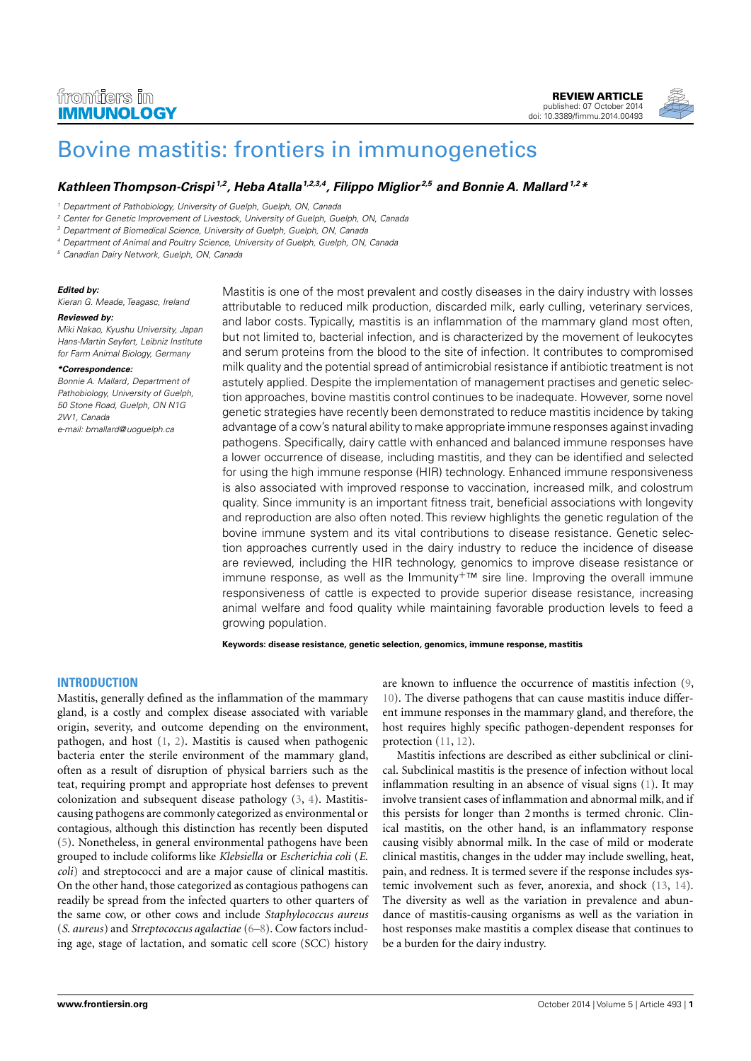## frontiers in **IMMUNOLOGY**

[REVIEW ARTICLE](http://www.frontiersin.org/Immunology/editorialboard) [published: 07 October 2014](http://www.frontiersin.org/Immunology/editorialboard) [doi: 10.3389/fimmu.2014.00493](http://www.frontiersin.org/Immunology/editorialboard)



# [Bovine mastitis: frontiers in immunogenetics](http://www.frontiersin.org/Journal/10.3389/fimmu.2014.00493/abstract)

### **[Kathleen Thompson-Crispi](http://www.frontiersin.org/people/u/139629) 1,2, Heba Atalla1,2,3,4, Filippo Miglior 2,5 and Bonnie A. Mallard1,2\***

<sup>3</sup> Department of Biomedical Science, University of Guelph, Guelph, ON, Canada

<sup>4</sup> Department of Animal and Poultry Science, University of Guelph, Guelph, ON, Canada

<sup>5</sup> Canadian Dairy Network, Guelph, ON, Canada

#### **Edited by:**

Kieran G. Meade, Teagasc, Ireland

#### **Reviewed by:**

Miki Nakao, Kyushu University, Japan Hans-Martin Seyfert, Leibniz Institute for Farm Animal Biology, Germany

#### **\*Correspondence:**

Bonnie A. Mallard, Department of Pathobiology, University of Guelph, 50 Stone Road, Guelph, ON N1G 2W1, Canada e-mail: [bmallard@uoguelph.ca](mailto:bmallard@uoguelph.ca)

Mastitis is one of the most prevalent and costly diseases in the dairy industry with losses attributable to reduced milk production, discarded milk, early culling, veterinary services, and labor costs. Typically, mastitis is an inflammation of the mammary gland most often, but not limited to, bacterial infection, and is characterized by the movement of leukocytes and serum proteins from the blood to the site of infection. It contributes to compromised milk quality and the potential spread of antimicrobial resistance if antibiotic treatment is not astutely applied. Despite the implementation of management practises and genetic selection approaches, bovine mastitis control continues to be inadequate. However, some novel genetic strategies have recently been demonstrated to reduce mastitis incidence by taking advantage of a cow's natural ability to make appropriate immune responses against invading pathogens. Specifically, dairy cattle with enhanced and balanced immune responses have a lower occurrence of disease, including mastitis, and they can be identified and selected for using the high immune response (HIR) technology. Enhanced immune responsiveness is also associated with improved response to vaccination, increased milk, and colostrum quality. Since immunity is an important fitness trait, beneficial associations with longevity and reproduction are also often noted. This review highlights the genetic regulation of the bovine immune system and its vital contributions to disease resistance. Genetic selection approaches currently used in the dairy industry to reduce the incidence of disease are reviewed, including the HIR technology, genomics to improve disease resistance or immune response, as well as the Immunity<sup>+™</sup> sire line. Improving the overall immune responsiveness of cattle is expected to provide superior disease resistance, increasing animal welfare and food quality while maintaining favorable production levels to feed a growing population.

**Keywords: disease resistance, genetic selection, genomics, immune response, mastitis**

#### **INTRODUCTION**

Mastitis, generally defined as the inflammation of the mammary gland, is a costly and complex disease associated with variable origin, severity, and outcome depending on the environment, pathogen, and host [\(1,](#page-5-0) [2\)](#page-5-1). Mastitis is caused when pathogenic bacteria enter the sterile environment of the mammary gland, often as a result of disruption of physical barriers such as the teat, requiring prompt and appropriate host defenses to prevent colonization and subsequent disease pathology [\(3,](#page-5-2) [4\)](#page-5-3). Mastitiscausing pathogens are commonly categorized as environmental or contagious, although this distinction has recently been disputed [\(5\)](#page-5-4). Nonetheless, in general environmental pathogens have been grouped to include coliforms like *Klebsiella* or *Escherichia coli* (*E*. *coli*) and streptococci and are a major cause of clinical mastitis. On the other hand, those categorized as contagious pathogens can readily be spread from the infected quarters to other quarters of the same cow, or other cows and include *Staphylococcus aureus* (*S*. *aureus*) and *Streptococcus agalactiae* [\(6](#page-6-0)[–8\)](#page-6-1). Cow factors including age, stage of lactation, and somatic cell score (SCC) history

are known to influence the occurrence of mastitis infection [\(9,](#page-6-2) [10\)](#page-6-3). The diverse pathogens that can cause mastitis induce different immune responses in the mammary gland, and therefore, the host requires highly specific pathogen-dependent responses for protection [\(11,](#page-6-4) [12\)](#page-6-5).

Mastitis infections are described as either subclinical or clinical. Subclinical mastitis is the presence of infection without local inflammation resulting in an absence of visual signs [\(1\)](#page-5-0). It may involve transient cases of inflammation and abnormal milk, and if this persists for longer than 2 months is termed chronic. Clinical mastitis, on the other hand, is an inflammatory response causing visibly abnormal milk. In the case of mild or moderate clinical mastitis, changes in the udder may include swelling, heat, pain, and redness. It is termed severe if the response includes systemic involvement such as fever, anorexia, and shock [\(13,](#page-6-6) [14\)](#page-6-7). The diversity as well as the variation in prevalence and abundance of mastitis-causing organisms as well as the variation in host responses make mastitis a complex disease that continues to be a burden for the dairy industry.

<sup>&</sup>lt;sup>1</sup> Department of Pathobiology, University of Guelph, Guelph, ON, Canada

<sup>&</sup>lt;sup>2</sup> Center for Genetic Improvement of Livestock, University of Guelph, Guelph, ON, Canada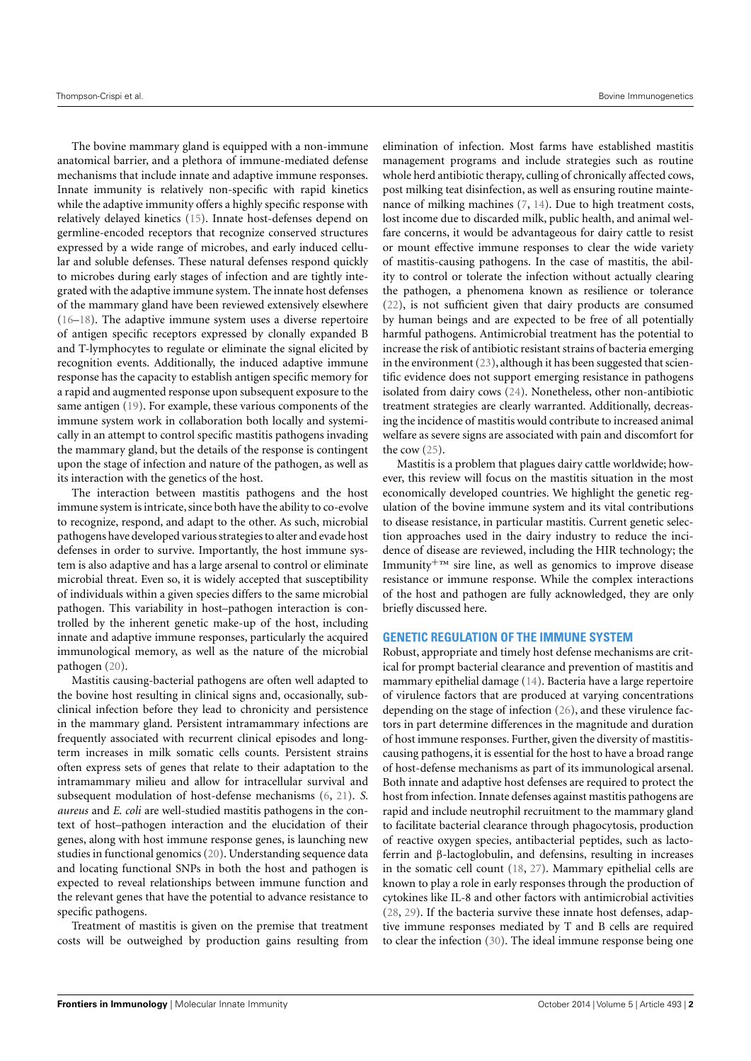The bovine mammary gland is equipped with a non-immune anatomical barrier, and a plethora of immune-mediated defense mechanisms that include innate and adaptive immune responses. Innate immunity is relatively non-specific with rapid kinetics while the adaptive immunity offers a highly specific response with relatively delayed kinetics [\(15\)](#page-6-8). Innate host-defenses depend on germline-encoded receptors that recognize conserved structures expressed by a wide range of microbes, and early induced cellular and soluble defenses. These natural defenses respond quickly to microbes during early stages of infection and are tightly integrated with the adaptive immune system. The innate host defenses of the mammary gland have been reviewed extensively elsewhere [\(16–](#page-6-9)[18\)](#page-6-10). The adaptive immune system uses a diverse repertoire of antigen specific receptors expressed by clonally expanded B and T-lymphocytes to regulate or eliminate the signal elicited by recognition events. Additionally, the induced adaptive immune response has the capacity to establish antigen specific memory for a rapid and augmented response upon subsequent exposure to the same antigen [\(19\)](#page-6-11). For example, these various components of the immune system work in collaboration both locally and systemically in an attempt to control specific mastitis pathogens invading the mammary gland, but the details of the response is contingent upon the stage of infection and nature of the pathogen, as well as its interaction with the genetics of the host.

The interaction between mastitis pathogens and the host immune system is intricate, since both have the ability to co-evolve to recognize, respond, and adapt to the other. As such, microbial pathogens have developed various strategies to alter and evade host defenses in order to survive. Importantly, the host immune system is also adaptive and has a large arsenal to control or eliminate microbial threat. Even so, it is widely accepted that susceptibility of individuals within a given species differs to the same microbial pathogen. This variability in host–pathogen interaction is controlled by the inherent genetic make-up of the host, including innate and adaptive immune responses, particularly the acquired immunological memory, as well as the nature of the microbial pathogen [\(20\)](#page-6-12).

Mastitis causing-bacterial pathogens are often well adapted to the bovine host resulting in clinical signs and, occasionally, subclinical infection before they lead to chronicity and persistence in the mammary gland. Persistent intramammary infections are frequently associated with recurrent clinical episodes and longterm increases in milk somatic cells counts. Persistent strains often express sets of genes that relate to their adaptation to the intramammary milieu and allow for intracellular survival and subsequent modulation of host-defense mechanisms [\(6,](#page-6-0) [21\)](#page-6-13). *S. aureus* and *E*. *coli* are well-studied mastitis pathogens in the context of host–pathogen interaction and the elucidation of their genes, along with host immune response genes, is launching new studies in functional genomics [\(20\)](#page-6-12). Understanding sequence data and locating functional SNPs in both the host and pathogen is expected to reveal relationships between immune function and the relevant genes that have the potential to advance resistance to specific pathogens.

Treatment of mastitis is given on the premise that treatment costs will be outweighed by production gains resulting from

elimination of infection. Most farms have established mastitis management programs and include strategies such as routine whole herd antibiotic therapy, culling of chronically affected cows, post milking teat disinfection, as well as ensuring routine maintenance of milking machines [\(7,](#page-6-14) [14\)](#page-6-7). Due to high treatment costs, lost income due to discarded milk, public health, and animal welfare concerns, it would be advantageous for dairy cattle to resist or mount effective immune responses to clear the wide variety of mastitis-causing pathogens. In the case of mastitis, the ability to control or tolerate the infection without actually clearing the pathogen, a phenomena known as resilience or tolerance [\(22\)](#page-6-15), is not sufficient given that dairy products are consumed by human beings and are expected to be free of all potentially harmful pathogens. Antimicrobial treatment has the potential to increase the risk of antibiotic resistant strains of bacteria emerging in the environment [\(23\)](#page-6-16), although it has been suggested that scientific evidence does not support emerging resistance in pathogens isolated from dairy cows [\(24\)](#page-6-17). Nonetheless, other non-antibiotic treatment strategies are clearly warranted. Additionally, decreasing the incidence of mastitis would contribute to increased animal welfare as severe signs are associated with pain and discomfort for the cow  $(25)$ .

Mastitis is a problem that plagues dairy cattle worldwide; however, this review will focus on the mastitis situation in the most economically developed countries. We highlight the genetic regulation of the bovine immune system and its vital contributions to disease resistance, in particular mastitis. Current genetic selection approaches used in the dairy industry to reduce the incidence of disease are reviewed, including the HIR technology; the Immunity<sup> $+<sup>TM</sup>$  sire line, as well as genomics to improve disease</sup> resistance or immune response. While the complex interactions of the host and pathogen are fully acknowledged, they are only briefly discussed here.

#### **GENETIC REGULATION OF THE IMMUNE SYSTEM**

Robust, appropriate and timely host defense mechanisms are critical for prompt bacterial clearance and prevention of mastitis and mammary epithelial damage [\(14\)](#page-6-7). Bacteria have a large repertoire of virulence factors that are produced at varying concentrations depending on the stage of infection [\(26\)](#page-6-19), and these virulence factors in part determine differences in the magnitude and duration of host immune responses. Further, given the diversity of mastitiscausing pathogens, it is essential for the host to have a broad range of host-defense mechanisms as part of its immunological arsenal. Both innate and adaptive host defenses are required to protect the host from infection. Innate defenses against mastitis pathogens are rapid and include neutrophil recruitment to the mammary gland to facilitate bacterial clearance through phagocytosis, production of reactive oxygen species, antibacterial peptides, such as lactoferrin and β-lactoglobulin, and defensins, resulting in increases in the somatic cell count [\(18,](#page-6-10) [27\)](#page-6-20). Mammary epithelial cells are known to play a role in early responses through the production of cytokines like IL-8 and other factors with antimicrobial activities [\(28,](#page-6-21) [29\)](#page-6-22). If the bacteria survive these innate host defenses, adaptive immune responses mediated by T and B cells are required to clear the infection [\(30\)](#page-6-23). The ideal immune response being one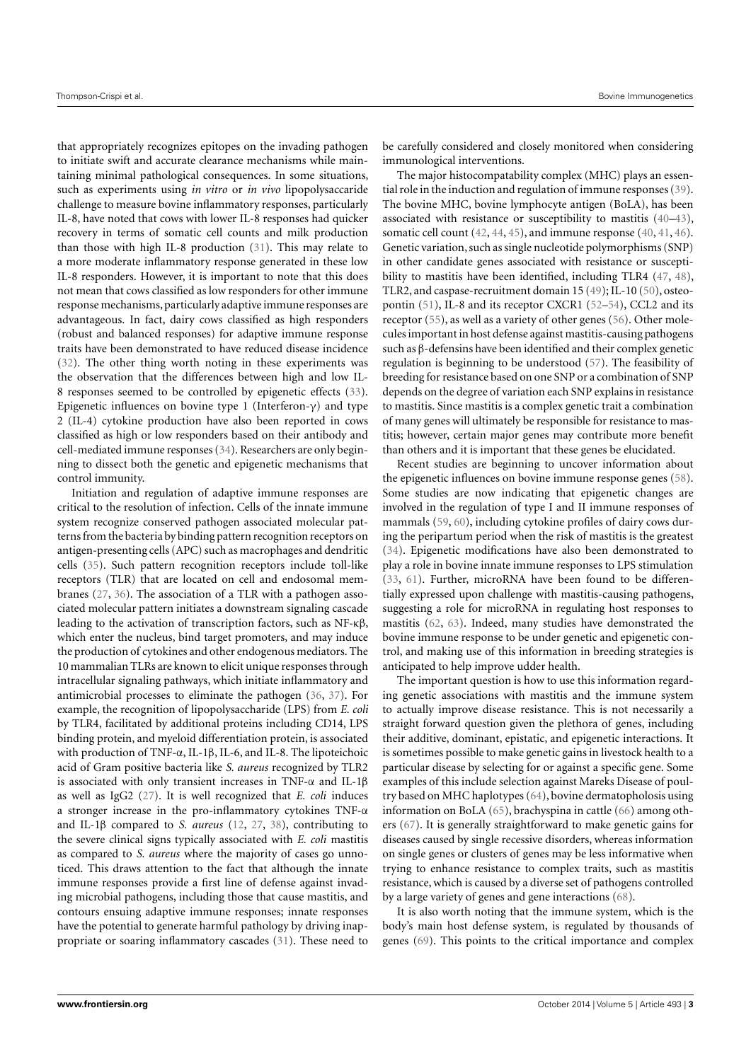that appropriately recognizes epitopes on the invading pathogen to initiate swift and accurate clearance mechanisms while maintaining minimal pathological consequences. In some situations, such as experiments using *in vitro* or *in vivo* lipopolysaccaride challenge to measure bovine inflammatory responses, particularly IL-8, have noted that cows with lower IL-8 responses had quicker recovery in terms of somatic cell counts and milk production than those with high IL-8 production [\(31\)](#page-6-24). This may relate to a more moderate inflammatory response generated in these low IL-8 responders. However, it is important to note that this does not mean that cows classified as low responders for other immune response mechanisms, particularly adaptive immune responses are advantageous. In fact, dairy cows classified as high responders (robust and balanced responses) for adaptive immune response traits have been demonstrated to have reduced disease incidence [\(32\)](#page-6-25). The other thing worth noting in these experiments was the observation that the differences between high and low IL-8 responses seemed to be controlled by epigenetic effects [\(33\)](#page-6-26). Epigenetic influences on bovine type 1 (Interferon-γ) and type 2 (IL-4) cytokine production have also been reported in cows classified as high or low responders based on their antibody and cell-mediated immune responses [\(34\)](#page-6-27). Researchers are only beginning to dissect both the genetic and epigenetic mechanisms that control immunity.

Initiation and regulation of adaptive immune responses are critical to the resolution of infection. Cells of the innate immune system recognize conserved pathogen associated molecular patterns from the bacteria by binding pattern recognition receptors on antigen-presenting cells (APC) such as macrophages and dendritic cells [\(35\)](#page-6-28). Such pattern recognition receptors include toll-like receptors (TLR) that are located on cell and endosomal membranes [\(27,](#page-6-20) [36\)](#page-6-29). The association of a TLR with a pathogen associated molecular pattern initiates a downstream signaling cascade leading to the activation of transcription factors, such as NF-κβ, which enter the nucleus, bind target promoters, and may induce the production of cytokines and other endogenous mediators. The 10 mammalian TLRs are known to elicit unique responses through intracellular signaling pathways, which initiate inflammatory and antimicrobial processes to eliminate the pathogen [\(36,](#page-6-29) [37\)](#page-6-30). For example, the recognition of lipopolysaccharide (LPS) from *E. coli* by TLR4, facilitated by additional proteins including CD14, LPS binding protein, and myeloid differentiation protein, is associated with production of TNF-α, IL-1β, IL-6, and IL-8. The lipoteichoic acid of Gram positive bacteria like *S. aureus* recognized by TLR2 is associated with only transient increases in TNF-α and IL-1β as well as IgG2 [\(27\)](#page-6-20). It is well recognized that *E. coli* induces a stronger increase in the pro-inflammatory cytokines TNF-α and IL-1β compared to *S. aureus* [\(12,](#page-6-5) [27,](#page-6-20) [38\)](#page-6-31), contributing to the severe clinical signs typically associated with *E. coli* mastitis as compared to *S. aureus* where the majority of cases go unnoticed. This draws attention to the fact that although the innate immune responses provide a first line of defense against invading microbial pathogens, including those that cause mastitis, and contours ensuing adaptive immune responses; innate responses have the potential to generate harmful pathology by driving inappropriate or soaring inflammatory cascades [\(31\)](#page-6-24). These need to

be carefully considered and closely monitored when considering immunological interventions.

The major histocompatability complex (MHC) plays an essential role in the induction and regulation of immune responses [\(39\)](#page-6-32). The bovine MHC, bovine lymphocyte antigen (BoLA), has been associated with resistance or susceptibility to mastitis [\(40–](#page-6-33)[43\)](#page-6-34), somatic cell count [\(42,](#page-6-35) [44,](#page-6-36) [45\)](#page-6-37), and immune response [\(40,](#page-6-33) [41,](#page-6-38) [46\)](#page-6-39). Genetic variation, such as single nucleotide polymorphisms (SNP) in other candidate genes associated with resistance or susceptibility to mastitis have been identified, including TLR4 [\(47,](#page-6-40) [48\)](#page-6-41), TLR2, and caspase-recruitment domain 15 [\(49\)](#page-6-42); IL-10 [\(50\)](#page-7-0), osteopontin [\(51\)](#page-7-1), IL-8 and its receptor CXCR1 [\(52](#page-7-2)[–54\)](#page-7-3), CCL2 and its receptor [\(55\)](#page-7-4), as well as a variety of other genes [\(56\)](#page-7-5). Other molecules important in host defense against mastitis-causing pathogens such as β-defensins have been identified and their complex genetic regulation is beginning to be understood [\(57\)](#page-7-6). The feasibility of breeding for resistance based on one SNP or a combination of SNP depends on the degree of variation each SNP explains in resistance to mastitis. Since mastitis is a complex genetic trait a combination of many genes will ultimately be responsible for resistance to mastitis; however, certain major genes may contribute more benefit than others and it is important that these genes be elucidated.

Recent studies are beginning to uncover information about the epigenetic influences on bovine immune response genes [\(58\)](#page-7-7). Some studies are now indicating that epigenetic changes are involved in the regulation of type I and II immune responses of mammals [\(59,](#page-7-8) [60\)](#page-7-9), including cytokine profiles of dairy cows during the peripartum period when the risk of mastitis is the greatest [\(34\)](#page-6-27). Epigenetic modifications have also been demonstrated to play a role in bovine innate immune responses to LPS stimulation [\(33,](#page-6-26) [61\)](#page-7-10). Further, microRNA have been found to be differentially expressed upon challenge with mastitis-causing pathogens, suggesting a role for microRNA in regulating host responses to mastitis [\(62,](#page-7-11) [63\)](#page-7-12). Indeed, many studies have demonstrated the bovine immune response to be under genetic and epigenetic control, and making use of this information in breeding strategies is anticipated to help improve udder health.

The important question is how to use this information regarding genetic associations with mastitis and the immune system to actually improve disease resistance. This is not necessarily a straight forward question given the plethora of genes, including their additive, dominant, epistatic, and epigenetic interactions. It is sometimes possible to make genetic gains in livestock health to a particular disease by selecting for or against a specific gene. Some examples of this include selection against Mareks Disease of poultry based on MHC haplotypes [\(64\)](#page-7-13), bovine dermatopholosis using information on BoLA [\(65\)](#page-7-14), brachyspina in cattle [\(66\)](#page-7-15) among others [\(67\)](#page-7-16). It is generally straightforward to make genetic gains for diseases caused by single recessive disorders, whereas information on single genes or clusters of genes may be less informative when trying to enhance resistance to complex traits, such as mastitis resistance, which is caused by a diverse set of pathogens controlled by a large variety of genes and gene interactions [\(68\)](#page-7-17).

It is also worth noting that the immune system, which is the body's main host defense system, is regulated by thousands of genes [\(69\)](#page-7-18). This points to the critical importance and complex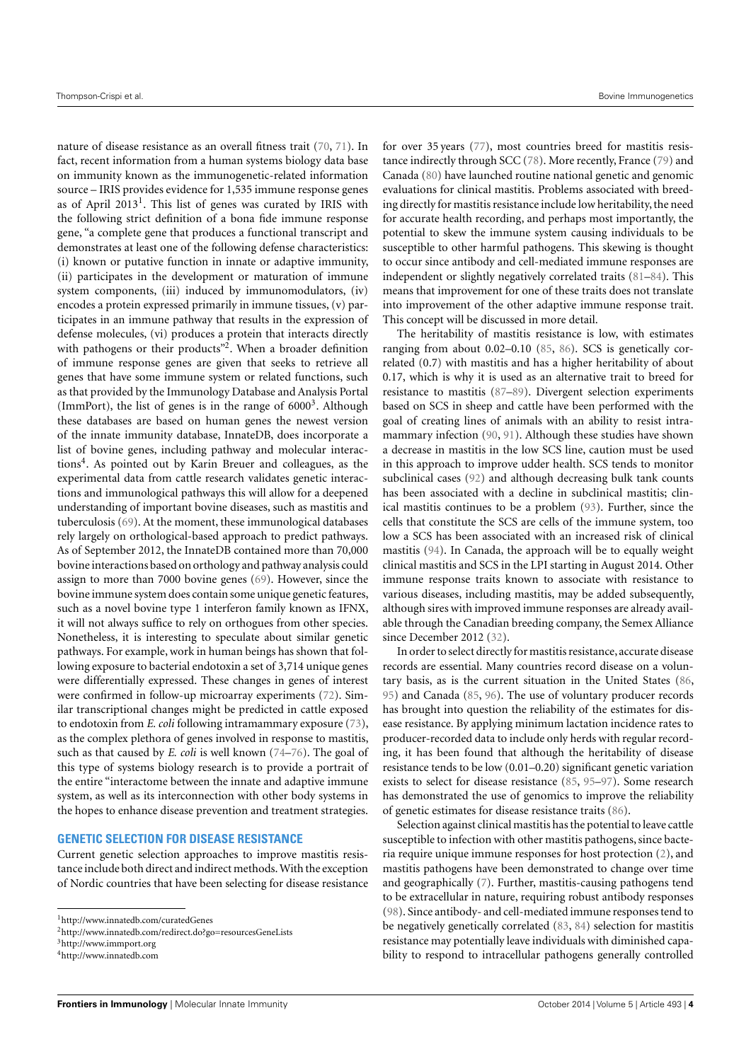nature of disease resistance as an overall fitness trait [\(70,](#page-7-19) [71\)](#page-7-20). In fact, recent information from a human systems biology data base on immunity known as the immunogenetic-related information source – IRIS provides evidence for 1,535 immune response genes as of April 20[1](#page-3-0)3<sup>1</sup>. This list of genes was curated by IRIS with the following strict definition of a bona fide immune response gene, "a complete gene that produces a functional transcript and demonstrates at least one of the following defense characteristics: (i) known or putative function in innate or adaptive immunity, (ii) participates in the development or maturation of immune system components, (iii) induced by immunomodulators, (iv) encodes a protein expressed primarily in immune tissues, (v) participates in an immune pathway that results in the expression of defense molecules, (vi) produces a protein that interacts directly with pathogens or their products"<sup>[2](#page-3-1)</sup>. When a broader definition of immune response genes are given that seeks to retrieve all genes that have some immune system or related functions, such as that provided by the Immunology Database and Analysis Portal (ImmPort), the list of genes is in the range of  $6000<sup>3</sup>$  $6000<sup>3</sup>$  $6000<sup>3</sup>$ . Although these databases are based on human genes the newest version of the innate immunity database, InnateDB, does incorporate a list of bovine genes, including pathway and molecular interac-tions<sup>[4](#page-3-3)</sup>. As pointed out by Karin Breuer and colleagues, as the experimental data from cattle research validates genetic interactions and immunological pathways this will allow for a deepened understanding of important bovine diseases, such as mastitis and tuberculosis [\(69\)](#page-7-18). At the moment, these immunological databases rely largely on orthological-based approach to predict pathways. As of September 2012, the InnateDB contained more than 70,000 bovine interactions based on orthology and pathway analysis could assign to more than 7000 bovine genes [\(69\)](#page-7-18). However, since the bovine immune system does contain some unique genetic features, such as a novel bovine type 1 interferon family known as IFNX, it will not always suffice to rely on orthogues from other species. Nonetheless, it is interesting to speculate about similar genetic pathways. For example, work in human beings has shown that following exposure to bacterial endotoxin a set of 3,714 unique genes were differentially expressed. These changes in genes of interest were confirmed in follow-up microarray experiments [\(72\)](#page-7-21). Similar transcriptional changes might be predicted in cattle exposed to endotoxin from *E. coli* following intramammary exposure [\(73\)](#page-7-22), as the complex plethora of genes involved in response to mastitis, such as that caused by *E. coli* is well known [\(74](#page-7-23)[–76\)](#page-7-24). The goal of this type of systems biology research is to provide a portrait of the entire "interactome between the innate and adaptive immune system, as well as its interconnection with other body systems in the hopes to enhance disease prevention and treatment strategies.

#### **GENETIC SELECTION FOR DISEASE RESISTANCE**

Current genetic selection approaches to improve mastitis resistance include both direct and indirect methods. With the exception of Nordic countries that have been selecting for disease resistance for over 35 years [\(77\)](#page-7-25), most countries breed for mastitis resistance indirectly through SCC [\(78\)](#page-7-26). More recently, France [\(79\)](#page-7-27) and Canada [\(80\)](#page-7-28) have launched routine national genetic and genomic evaluations for clinical mastitis. Problems associated with breeding directly for mastitis resistance include low heritability, the need for accurate health recording, and perhaps most importantly, the potential to skew the immune system causing individuals to be susceptible to other harmful pathogens. This skewing is thought to occur since antibody and cell-mediated immune responses are independent or slightly negatively correlated traits [\(81–](#page-7-29)[84\)](#page-7-30). This means that improvement for one of these traits does not translate into improvement of the other adaptive immune response trait. This concept will be discussed in more detail.

The heritability of mastitis resistance is low, with estimates ranging from about 0.02–0.10 [\(85,](#page-7-31) [86\)](#page-7-32). SCS is genetically correlated (0.7) with mastitis and has a higher heritability of about 0.17, which is why it is used as an alternative trait to breed for resistance to mastitis [\(87–](#page-7-33)[89\)](#page-7-34). Divergent selection experiments based on SCS in sheep and cattle have been performed with the goal of creating lines of animals with an ability to resist intramammary infection [\(90,](#page-8-0) [91\)](#page-8-1). Although these studies have shown a decrease in mastitis in the low SCS line, caution must be used in this approach to improve udder health. SCS tends to monitor subclinical cases [\(92\)](#page-8-2) and although decreasing bulk tank counts has been associated with a decline in subclinical mastitis; clinical mastitis continues to be a problem [\(93\)](#page-8-3). Further, since the cells that constitute the SCS are cells of the immune system, too low a SCS has been associated with an increased risk of clinical mastitis [\(94\)](#page-8-4). In Canada, the approach will be to equally weight clinical mastitis and SCS in the LPI starting in August 2014. Other immune response traits known to associate with resistance to various diseases, including mastitis, may be added subsequently, although sires with improved immune responses are already available through the Canadian breeding company, the Semex Alliance since December 2012 [\(32\)](#page-6-25).

In order to select directly for mastitis resistance, accurate disease records are essential. Many countries record disease on a voluntary basis, as is the current situation in the United States [\(86,](#page-7-32) [95\)](#page-8-5) and Canada [\(85,](#page-7-31) [96\)](#page-8-6). The use of voluntary producer records has brought into question the reliability of the estimates for disease resistance. By applying minimum lactation incidence rates to producer-recorded data to include only herds with regular recording, it has been found that although the heritability of disease resistance tends to be low (0.01–0.20) significant genetic variation exists to select for disease resistance [\(85,](#page-7-31) [95–](#page-8-5)[97\)](#page-8-7). Some research has demonstrated the use of genomics to improve the reliability of genetic estimates for disease resistance traits [\(86\)](#page-7-32).

Selection against clinical mastitis has the potential to leave cattle susceptible to infection with other mastitis pathogens, since bacteria require unique immune responses for host protection [\(2\)](#page-5-1), and mastitis pathogens have been demonstrated to change over time and geographically [\(7\)](#page-6-14). Further, mastitis-causing pathogens tend to be extracellular in nature, requiring robust antibody responses [\(98\)](#page-8-8). Since antibody- and cell-mediated immune responses tend to be negatively genetically correlated [\(83,](#page-7-35) [84\)](#page-7-30) selection for mastitis resistance may potentially leave individuals with diminished capability to respond to intracellular pathogens generally controlled

<span id="page-3-0"></span><sup>1</sup><http://www.innatedb.com/curatedGenes>

<span id="page-3-1"></span><sup>2</sup><http://www.innatedb.com/redirect.do?go=resourcesGeneLists>

<span id="page-3-2"></span><sup>3</sup><http://www.immport.org>

<span id="page-3-3"></span><sup>4</sup><http://www.innatedb.com>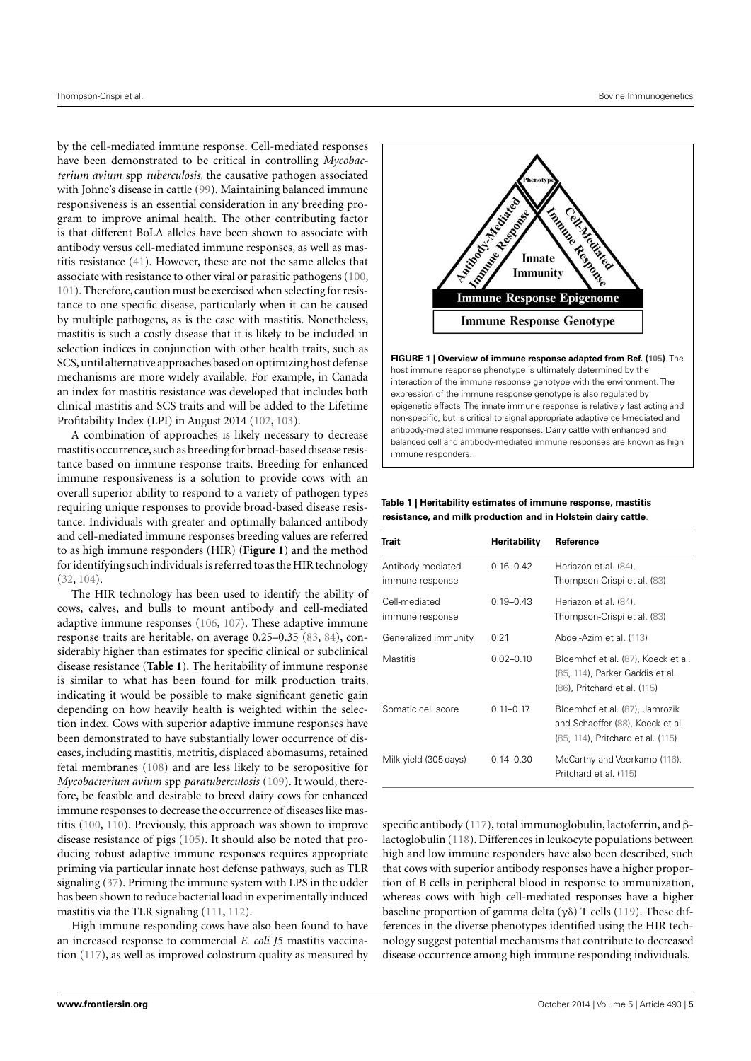by the cell-mediated immune response. Cell-mediated responses have been demonstrated to be critical in controlling *Mycobacterium avium* spp *tuberculosis*, the causative pathogen associated with Johne's disease in cattle [\(99\)](#page-8-9). Maintaining balanced immune responsiveness is an essential consideration in any breeding program to improve animal health. The other contributing factor is that different BoLA alleles have been shown to associate with antibody versus cell-mediated immune responses, as well as mastitis resistance [\(41\)](#page-6-38). However, these are not the same alleles that associate with resistance to other viral or parasitic pathogens [\(100,](#page-8-10) [101\)](#page-8-11). Therefore, caution must be exercised when selecting for resistance to one specific disease, particularly when it can be caused by multiple pathogens, as is the case with mastitis. Nonetheless, mastitis is such a costly disease that it is likely to be included in selection indices in conjunction with other health traits, such as SCS, until alternative approaches based on optimizing host defense mechanisms are more widely available. For example, in Canada an index for mastitis resistance was developed that includes both clinical mastitis and SCS traits and will be added to the Lifetime Profitability Index (LPI) in August 2014 [\(102,](#page-8-12) [103\)](#page-8-13).

A combination of approaches is likely necessary to decrease mastitis occurrence,such as breeding for broad-based disease resistance based on immune response traits. Breeding for enhanced immune responsiveness is a solution to provide cows with an overall superior ability to respond to a variety of pathogen types requiring unique responses to provide broad-based disease resistance. Individuals with greater and optimally balanced antibody and cell-mediated immune responses breeding values are referred to as high immune responders (HIR) (**[Figure 1](#page-4-0)**) and the method for identifying such individuals is referred to as the HIR technology [\(32,](#page-6-25) [104\)](#page-8-14).

The HIR technology has been used to identify the ability of cows, calves, and bulls to mount antibody and cell-mediated adaptive immune responses [\(106,](#page-8-15) [107\)](#page-8-16). These adaptive immune response traits are heritable, on average 0.25–0.35 [\(83,](#page-7-35) [84\)](#page-7-30), considerably higher than estimates for specific clinical or subclinical disease resistance (**[Table 1](#page-4-1)**). The heritability of immune response is similar to what has been found for milk production traits, indicating it would be possible to make significant genetic gain depending on how heavily health is weighted within the selection index. Cows with superior adaptive immune responses have been demonstrated to have substantially lower occurrence of diseases, including mastitis, metritis, displaced abomasums, retained fetal membranes [\(108\)](#page-8-17) and are less likely to be seropositive for *Mycobacterium avium* spp *paratuberculosis* [\(109\)](#page-8-18). It would, therefore, be feasible and desirable to breed dairy cows for enhanced immune responses to decrease the occurrence of diseases like mastitis [\(100,](#page-8-10) [110\)](#page-8-19). Previously, this approach was shown to improve disease resistance of pigs [\(105\)](#page-8-20). It should also be noted that producing robust adaptive immune responses requires appropriate priming via particular innate host defense pathways, such as TLR signaling [\(37\)](#page-6-30). Priming the immune system with LPS in the udder has been shown to reduce bacterial load in experimentally induced mastitis via the TLR signaling [\(111,](#page-8-21) [112\)](#page-8-22).

High immune responding cows have also been found to have an increased response to commercial *E. coli J5* mastitis vaccination [\(117\)](#page-8-23), as well as improved colostrum quality as measured by



<span id="page-4-0"></span>host immune response phenotype is ultimately determined by the interaction of the immune response genotype with the environment. The expression of the immune response genotype is also regulated by epigenetic effects. The innate immune response is relatively fast acting and non-specific, but is critical to signal appropriate adaptive cell-mediated and antibody-mediated immune responses. Dairy cattle with enhanced and balanced cell and antibody-mediated immune responses are known as high immune responders.

#### <span id="page-4-1"></span>**Table 1 | Heritability estimates of immune response, mastitis resistance, and milk production and in Holstein dairy cattle**.

| Trait                                | <b>Heritability</b> | Reference                                                                                               |
|--------------------------------------|---------------------|---------------------------------------------------------------------------------------------------------|
| Antibody-mediated<br>immune response | $0.16 - 0.42$       | Heriazon et al. (84),<br>Thompson-Crispi et al. (83)                                                    |
| Cell-mediated<br>immune response     | $0.19 - 0.43$       | Heriazon et al. (84),<br>Thompson-Crispi et al. (83)                                                    |
| Generalized immunity                 | 0.21                | Abdel-Azim et al. (113)                                                                                 |
| <b>Mastitis</b>                      | $0.02 - 0.10$       | Bloemhof et al. (87), Koeck et al.<br>(85, 114), Parker Gaddis et al.<br>(86), Pritchard et al. (115)   |
| Somatic cell score                   | $0.11 - 0.17$       | Bloemhof et al. (87), Jamrozik<br>and Schaeffer (88), Koeck et al.<br>(85, 114), Pritchard et al. (115) |
| Milk yield (305 days)                | $0.14 - 0.30$       | McCarthy and Veerkamp (116),<br>Pritchard et al. (115)                                                  |

specific antibody [\(117\)](#page-8-23), total immunoglobulin, lactoferrin, and βlactoglobulin [\(118\)](#page-8-28). Differences in leukocyte populations between high and low immune responders have also been described, such that cows with superior antibody responses have a higher proportion of B cells in peripheral blood in response to immunization, whereas cows with high cell-mediated responses have a higher baseline proportion of gamma delta (γδ) T cells [\(119\)](#page-8-29). These differences in the diverse phenotypes identified using the HIR technology suggest potential mechanisms that contribute to decreased disease occurrence among high immune responding individuals.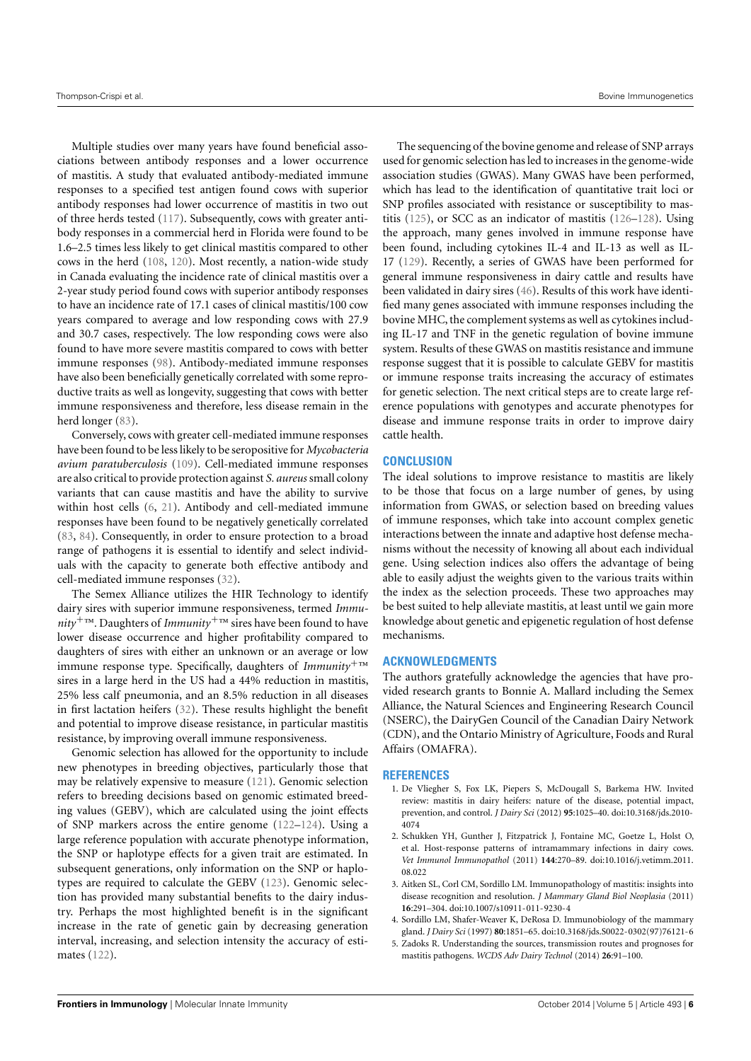Multiple studies over many years have found beneficial associations between antibody responses and a lower occurrence of mastitis. A study that evaluated antibody-mediated immune responses to a specified test antigen found cows with superior antibody responses had lower occurrence of mastitis in two out of three herds tested [\(117\)](#page-8-23). Subsequently, cows with greater antibody responses in a commercial herd in Florida were found to be 1.6–2.5 times less likely to get clinical mastitis compared to other cows in the herd [\(108,](#page-8-17) [120\)](#page-8-30). Most recently, a nation-wide study in Canada evaluating the incidence rate of clinical mastitis over a 2-year study period found cows with superior antibody responses to have an incidence rate of 17.1 cases of clinical mastitis/100 cow years compared to average and low responding cows with 27.9 and 30.7 cases, respectively. The low responding cows were also found to have more severe mastitis compared to cows with better immune responses [\(98\)](#page-8-8). Antibody-mediated immune responses have also been beneficially genetically correlated with some reproductive traits as well as longevity, suggesting that cows with better immune responsiveness and therefore, less disease remain in the herd longer [\(83\)](#page-7-35).

Conversely, cows with greater cell-mediated immune responses have been found to be less likely to be seropositive for *Mycobacteria avium paratuberculosis* [\(109\)](#page-8-18). Cell-mediated immune responses are also critical to provide protection against *S. aureus* small colony variants that can cause mastitis and have the ability to survive within host cells [\(6,](#page-6-0) [21\)](#page-6-13). Antibody and cell-mediated immune responses have been found to be negatively genetically correlated [\(83,](#page-7-35) [84\)](#page-7-30). Consequently, in order to ensure protection to a broad range of pathogens it is essential to identify and select individuals with the capacity to generate both effective antibody and cell-mediated immune responses [\(32\)](#page-6-25).

The Semex Alliance utilizes the HIR Technology to identify dairy sires with superior immune responsiveness, termed *Immu* $nity^{+TM}$ . Daughters of *Immunity*<sup>+™</sup> sires have been found to have lower disease occurrence and higher profitability compared to daughters of sires with either an unknown or an average or low immune response type. Specifically, daughters of *Immunity*+™ sires in a large herd in the US had a 44% reduction in mastitis, 25% less calf pneumonia, and an 8.5% reduction in all diseases in first lactation heifers [\(32\)](#page-6-25). These results highlight the benefit and potential to improve disease resistance, in particular mastitis resistance, by improving overall immune responsiveness.

Genomic selection has allowed for the opportunity to include new phenotypes in breeding objectives, particularly those that may be relatively expensive to measure [\(121\)](#page-8-31). Genomic selection refers to breeding decisions based on genomic estimated breeding values (GEBV), which are calculated using the joint effects of SNP markers across the entire genome [\(122–](#page-8-32)[124\)](#page-8-33). Using a large reference population with accurate phenotype information, the SNP or haplotype effects for a given trait are estimated. In subsequent generations, only information on the SNP or haplotypes are required to calculate the GEBV [\(123\)](#page-8-34). Genomic selection has provided many substantial benefits to the dairy industry. Perhaps the most highlighted benefit is in the significant increase in the rate of genetic gain by decreasing generation interval, increasing, and selection intensity the accuracy of estimates [\(122\)](#page-8-32).

The sequencing of the bovine genome and release of SNP arrays used for genomic selection has led to increases in the genome-wide association studies (GWAS). Many GWAS have been performed, which has lead to the identification of quantitative trait loci or SNP profiles associated with resistance or susceptibility to mastitis [\(125\)](#page-8-35), or SCC as an indicator of mastitis [\(126–](#page-8-36)[128\)](#page-8-37). Using the approach, many genes involved in immune response have been found, including cytokines IL-4 and IL-13 as well as IL-17 [\(129\)](#page-9-0). Recently, a series of GWAS have been performed for general immune responsiveness in dairy cattle and results have been validated in dairy sires [\(46\)](#page-6-39). Results of this work have identified many genes associated with immune responses including the bovine MHC, the complement systems as well as cytokines including IL-17 and TNF in the genetic regulation of bovine immune system. Results of these GWAS on mastitis resistance and immune response suggest that it is possible to calculate GEBV for mastitis or immune response traits increasing the accuracy of estimates for genetic selection. The next critical steps are to create large reference populations with genotypes and accurate phenotypes for disease and immune response traits in order to improve dairy cattle health.

#### **CONCLUSION**

The ideal solutions to improve resistance to mastitis are likely to be those that focus on a large number of genes, by using information from GWAS, or selection based on breeding values of immune responses, which take into account complex genetic interactions between the innate and adaptive host defense mechanisms without the necessity of knowing all about each individual gene. Using selection indices also offers the advantage of being able to easily adjust the weights given to the various traits within the index as the selection proceeds. These two approaches may be best suited to help alleviate mastitis, at least until we gain more knowledge about genetic and epigenetic regulation of host defense mechanisms.

#### **ACKNOWLEDGMENTS**

The authors gratefully acknowledge the agencies that have provided research grants to Bonnie A. Mallard including the Semex Alliance, the Natural Sciences and Engineering Research Council (NSERC), the DairyGen Council of the Canadian Dairy Network (CDN), and the Ontario Ministry of Agriculture, Foods and Rural Affairs (OMAFRA).

#### **REFERENCES**

- <span id="page-5-0"></span>1. De Vliegher S, Fox LK, Piepers S, McDougall S, Barkema HW. Invited review: mastitis in dairy heifers: nature of the disease, potential impact, prevention, and control. *J Dairy Sci* (2012) **95**:1025–40. doi[:10.3168/jds.2010-](http://dx.doi.org/10.3168/jds.2010-4074) [4074](http://dx.doi.org/10.3168/jds.2010-4074)
- <span id="page-5-1"></span>2. Schukken YH, Gunther J, Fitzpatrick J, Fontaine MC, Goetze L, Holst O, et al. Host-response patterns of intramammary infections in dairy cows. *Vet Immunol Immunopathol* (2011) **144**:270–89. doi[:10.1016/j.vetimm.2011.](http://dx.doi.org/10.1016/j.vetimm.2011.08.022) [08.022](http://dx.doi.org/10.1016/j.vetimm.2011.08.022)
- <span id="page-5-2"></span>3. Aitken SL, Corl CM, Sordillo LM. Immunopathology of mastitis: insights into disease recognition and resolution. *J Mammary Gland Biol Neoplasia* (2011) **16**:291–304. doi[:10.1007/s10911-011-9230-4](http://dx.doi.org/10.1007/s10911-011-9230-4)
- <span id="page-5-3"></span>4. Sordillo LM, Shafer-Weaver K, DeRosa D. Immunobiology of the mammary gland. *J Dairy Sci* (1997) **80**:1851–65. doi[:10.3168/jds.S0022-0302\(97\)76121-6](http://dx.doi.org/10.3168/jds.S0022-0302(97)76121-6)
- <span id="page-5-4"></span>5. Zadoks R. Understanding the sources, transmission routes and prognoses for mastitis pathogens. *WCDS Adv Dairy Technol* (2014) **26**:91–100.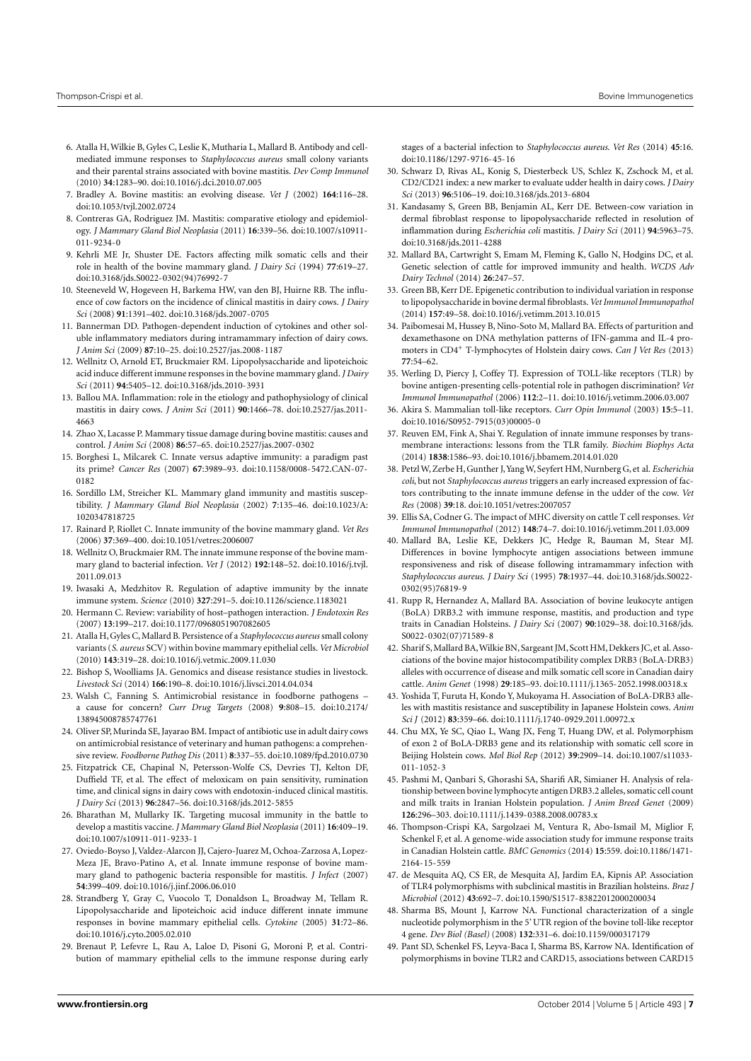- <span id="page-6-0"></span>6. Atalla H, Wilkie B, Gyles C, Leslie K, Mutharia L, Mallard B. Antibody and cellmediated immune responses to *Staphylococcus aureus* small colony variants and their parental strains associated with bovine mastitis. *Dev Comp Immunol* (2010) **34**:1283–90. doi[:10.1016/j.dci.2010.07.005](http://dx.doi.org/10.1016/j.dci.2010.07.005)
- <span id="page-6-14"></span>7. Bradley A. Bovine mastitis: an evolving disease. *Vet J* (2002) **164**:116–28. doi[:10.1053/tvjl.2002.0724](http://dx.doi.org/10.1053/tvjl.2002.0724)
- <span id="page-6-1"></span>8. Contreras GA, Rodriguez JM. Mastitis: comparative etiology and epidemiology. *J Mammary Gland Biol Neoplasia* (2011) **16**:339–56. doi[:10.1007/s10911-](http://dx.doi.org/10.1007/s10911-011-9234-0) [011-9234-0](http://dx.doi.org/10.1007/s10911-011-9234-0)
- <span id="page-6-2"></span>9. Kehrli ME Jr, Shuster DE. Factors affecting milk somatic cells and their role in health of the bovine mammary gland. *J Dairy Sci* (1994) **77**:619–27. doi[:10.3168/jds.S0022-0302\(94\)76992-7](http://dx.doi.org/10.3168/jds.S0022-0302(94)76992-7)
- <span id="page-6-3"></span>10. Steeneveld W, Hogeveen H, Barkema HW, van den BJ, Huirne RB. The influence of cow factors on the incidence of clinical mastitis in dairy cows. *J Dairy Sci* (2008) **91**:1391–402. doi[:10.3168/jds.2007-0705](http://dx.doi.org/10.3168/jds.2007-0705)
- <span id="page-6-4"></span>11. Bannerman DD. Pathogen-dependent induction of cytokines and other soluble inflammatory mediators during intramammary infection of dairy cows. *J Anim Sci* (2009) **87**:10–25. doi[:10.2527/jas.2008-1187](http://dx.doi.org/10.2527/jas.2008-1187)
- <span id="page-6-5"></span>12. Wellnitz O, Arnold ET, Bruckmaier RM. Lipopolysaccharide and lipoteichoic acid induce different immune responses in the bovine mammary gland. *J Dairy Sci* (2011) **94**:5405–12. doi[:10.3168/jds.2010-3931](http://dx.doi.org/10.3168/jds.2010-3931)
- <span id="page-6-6"></span>13. Ballou MA. Inflammation: role in the etiology and pathophysiology of clinical mastitis in dairy cows. *J Anim Sci* (2011) **90**:1466–78. doi[:10.2527/jas.2011-](http://dx.doi.org/10.2527/jas.2011-4663) [4663](http://dx.doi.org/10.2527/jas.2011-4663)
- <span id="page-6-7"></span>14. Zhao X, Lacasse P. Mammary tissue damage during bovine mastitis: causes and control. *J Anim Sci* (2008) **86**:57–65. doi[:10.2527/jas.2007-0302](http://dx.doi.org/10.2527/jas.2007-0302)
- <span id="page-6-8"></span>15. Borghesi L, Milcarek C. Innate versus adaptive immunity: a paradigm past its prime? *Cancer Res* (2007) **67**:3989–93. doi[:10.1158/0008-5472.CAN-07-](http://dx.doi.org/10.1158/0008-5472.CAN-07-0182) [0182](http://dx.doi.org/10.1158/0008-5472.CAN-07-0182)
- <span id="page-6-9"></span>16. Sordillo LM, Streicher KL. Mammary gland immunity and mastitis susceptibility. *J Mammary Gland Biol Neoplasia* (2002) **7**:135–46. doi[:10.1023/A:](http://dx.doi.org/10.1023/A:1020347818725) [1020347818725](http://dx.doi.org/10.1023/A:1020347818725)
- 17. Rainard P, Riollet C. Innate immunity of the bovine mammary gland. *Vet Res* (2006) **37**:369–400. doi[:10.1051/vetres:2006007](http://dx.doi.org/10.1051/vetres:2006007)
- <span id="page-6-10"></span>18. Wellnitz O, Bruckmaier RM. The innate immune response of the bovine mammary gland to bacterial infection. *Vet J* (2012) **192**:148–52. doi[:10.1016/j.tvjl.](http://dx.doi.org/10.1016/j.tvjl.2011.09.013) [2011.09.013](http://dx.doi.org/10.1016/j.tvjl.2011.09.013)
- <span id="page-6-11"></span>19. Iwasaki A, Medzhitov R. Regulation of adaptive immunity by the innate immune system. *Science* (2010) **327**:291–5. doi[:10.1126/science.1183021](http://dx.doi.org/10.1126/science.1183021)
- <span id="page-6-12"></span>20. Hermann C. Review: variability of host–pathogen interaction. *J Endotoxin Res* (2007) **13**:199–217. doi[:10.1177/0968051907082605](http://dx.doi.org/10.1177/0968051907082605)
- <span id="page-6-13"></span>21. Atalla H, Gyles C, Mallard B. Persistence of a *Staphylococcus aureus* small colony variants (*S. aureus* SCV) within bovine mammary epithelial cells.*Vet Microbiol* (2010) **143**:319–28. doi[:10.1016/j.vetmic.2009.11.030](http://dx.doi.org/10.1016/j.vetmic.2009.11.030)
- <span id="page-6-15"></span>22. Bishop S, Woolliams JA. Genomics and disease resistance studies in livestock. *Livestock Sci* (2014) **166**:190–8. doi[:10.1016/j.livsci.2014.04.034](http://dx.doi.org/10.1016/j.livsci.2014.04.034)
- <span id="page-6-16"></span>23. Walsh C, Fanning S. Antimicrobial resistance in foodborne pathogens – a cause for concern? *Curr Drug Targets* (2008) **9**:808–15. doi[:10.2174/](http://dx.doi.org/10.2174/138945008785747761) [138945008785747761](http://dx.doi.org/10.2174/138945008785747761)
- <span id="page-6-17"></span>24. Oliver SP, Murinda SE, Jayarao BM. Impact of antibiotic use in adult dairy cows on antimicrobial resistance of veterinary and human pathogens: a comprehensive review. *Foodborne Pathog Dis* (2011) **8**:337–55. doi[:10.1089/fpd.2010.0730](http://dx.doi.org/10.1089/fpd.2010.0730)
- <span id="page-6-18"></span>25. Fitzpatrick CE, Chapinal N, Petersson-Wolfe CS, Devries TJ, Kelton DF, Duffield TF, et al. The effect of meloxicam on pain sensitivity, rumination time, and clinical signs in dairy cows with endotoxin-induced clinical mastitis. *J Dairy Sci* (2013) **96**:2847–56. doi[:10.3168/jds.2012-5855](http://dx.doi.org/10.3168/jds.2012-5855)
- <span id="page-6-19"></span>26. Bharathan M, Mullarky IK. Targeting mucosal immunity in the battle to develop a mastitis vaccine. *J Mammary Gland Biol Neoplasia* (2011) **16**:409–19. doi[:10.1007/s10911-011-9233-1](http://dx.doi.org/10.1007/s10911-011-9233-1)
- <span id="page-6-20"></span>27. Oviedo-Boyso J, Valdez-Alarcon JJ, Cajero-Juarez M, Ochoa-Zarzosa A, Lopez-Meza JE, Bravo-Patino A, et al. Innate immune response of bovine mammary gland to pathogenic bacteria responsible for mastitis. *J Infect* (2007) **54**:399–409. doi[:10.1016/j.jinf.2006.06.010](http://dx.doi.org/10.1016/j.jinf.2006.06.010)
- <span id="page-6-21"></span>28. Strandberg Y, Gray C, Vuocolo T, Donaldson L, Broadway M, Tellam R. Lipopolysaccharide and lipoteichoic acid induce different innate immune responses in bovine mammary epithelial cells. *Cytokine* (2005) **31**:72–86. doi[:10.1016/j.cyto.2005.02.010](http://dx.doi.org/10.1016/j.cyto.2005.02.010)
- <span id="page-6-22"></span>29. Brenaut P, Lefevre L, Rau A, Laloe D, Pisoni G, Moroni P, et al. Contribution of mammary epithelial cells to the immune response during early

stages of a bacterial infection to *Staphylococcus aureus*. *Vet Res* (2014) **45**:16. doi[:10.1186/1297-9716-45-16](http://dx.doi.org/10.1186/1297-9716-45-16)

- <span id="page-6-23"></span>30. Schwarz D, Rivas AL, Konig S, Diesterbeck US, Schlez K, Zschock M, et al. CD2/CD21 index: a new marker to evaluate udder health in dairy cows. *J Dairy Sci* (2013) **96**:5106–19. doi[:10.3168/jds.2013-6804](http://dx.doi.org/10.3168/jds.2013-6804)
- <span id="page-6-24"></span>31. Kandasamy S, Green BB, Benjamin AL, Kerr DE. Between-cow variation in dermal fibroblast response to lipopolysaccharide reflected in resolution of inflammation during *Escherichia coli* mastitis. *J Dairy Sci* (2011) **94**:5963–75. doi[:10.3168/jds.2011-4288](http://dx.doi.org/10.3168/jds.2011-4288)
- <span id="page-6-25"></span>32. Mallard BA, Cartwright S, Emam M, Fleming K, Gallo N, Hodgins DC, et al. Genetic selection of cattle for improved immunity and health. *WCDS Adv Dairy Technol* (2014) **26**:247–57.
- <span id="page-6-26"></span>33. Green BB, Kerr DE. Epigenetic contribution to individual variation in response to lipopolysaccharide in bovine dermal fibroblasts.*Vet Immunol Immunopathol* (2014) **157**:49–58. doi[:10.1016/j.vetimm.2013.10.015](http://dx.doi.org/10.1016/j.vetimm.2013.10.015)
- <span id="page-6-27"></span>34. Paibomesai M, Hussey B, Nino-Soto M, Mallard BA. Effects of parturition and dexamethasone on DNA methylation patterns of IFN-gamma and IL-4 promoters in CD4<sup>+</sup> T-lymphocytes of Holstein dairy cows. *Can J Vet Res* (2013) **77**:54–62.
- <span id="page-6-28"></span>35. Werling D, Piercy J, Coffey TJ. Expression of TOLL-like receptors (TLR) by bovine antigen-presenting cells-potential role in pathogen discrimination? *Vet Immunol Immunopathol* (2006) **112**:2–11. doi[:10.1016/j.vetimm.2006.03.007](http://dx.doi.org/10.1016/j.vetimm.2006.03.007)
- <span id="page-6-29"></span>36. Akira S. Mammalian toll-like receptors. *Curr Opin Immunol* (2003) **15**:5–11. doi[:10.1016/S0952-7915\(03\)00005-0](http://dx.doi.org/10.1016/S0952-7915(03)00005-0)
- <span id="page-6-30"></span>37. Reuven EM, Fink A, Shai Y. Regulation of innate immune responses by transmembrane interactions: lessons from the TLR family. *Biochim Biophys Acta* (2014) **1838**:1586–93. doi[:10.1016/j.bbamem.2014.01.020](http://dx.doi.org/10.1016/j.bbamem.2014.01.020)
- <span id="page-6-31"></span>38. Petzl W, Zerbe H, Gunther J,Yang W, Seyfert HM, Nurnberg G, et al. *Escherichia coli*, but not *Staphylococcus aureus* triggers an early increased expression of factors contributing to the innate immune defense in the udder of the cow. *Vet Res* (2008) **39**:18. doi[:10.1051/vetres:2007057](http://dx.doi.org/10.1051/vetres:2007057)
- <span id="page-6-32"></span>39. Ellis SA, Codner G. The impact of MHC diversity on cattle T cell responses.*Vet Immunol Immunopathol* (2012) **148**:74–7. doi[:10.1016/j.vetimm.2011.03.009](http://dx.doi.org/10.1016/j.vetimm.2011.03.009)
- <span id="page-6-33"></span>40. Mallard BA, Leslie KE, Dekkers JC, Hedge R, Bauman M, Stear MJ. Differences in bovine lymphocyte antigen associations between immune responsiveness and risk of disease following intramammary infection with *Staphylococcus aureus*. *J Dairy Sci* (1995) **78**:1937–44. doi[:10.3168/jds.S0022-](http://dx.doi.org/10.3168/jds.S0022-0302(95)76819-9) [0302\(95\)76819-9](http://dx.doi.org/10.3168/jds.S0022-0302(95)76819-9)
- <span id="page-6-38"></span>41. Rupp R, Hernandez A, Mallard BA. Association of bovine leukocyte antigen (BoLA) DRB3.2 with immune response, mastitis, and production and type traits in Canadian Holsteins. *J Dairy Sci* (2007) **90**:1029–38. doi[:10.3168/jds.](http://dx.doi.org/10.3168/jds.S0022-0302(07)71589-8) [S0022-0302\(07\)71589-8](http://dx.doi.org/10.3168/jds.S0022-0302(07)71589-8)
- <span id="page-6-35"></span>42. Sharif S, Mallard BA, Wilkie BN, Sargeant JM, Scott HM, Dekkers JC, et al. Associations of the bovine major histocompatibility complex DRB3 (BoLA-DRB3) alleles with occurrence of disease and milk somatic cell score in Canadian dairy cattle. *Anim Genet* (1998) **29**:185–93. doi[:10.1111/j.1365-2052.1998.00318.x](http://dx.doi.org/10.1111/j.1365-2052.1998.00318.x)
- <span id="page-6-34"></span>43. Yoshida T, Furuta H, Kondo Y, Mukoyama H. Association of BoLA-DRB3 alleles with mastitis resistance and susceptibility in Japanese Holstein cows. *Anim Sci J* (2012) **83**:359–66. doi[:10.1111/j.1740-0929.2011.00972.x](http://dx.doi.org/10.1111/j.1740-0929.2011.00972.x)
- <span id="page-6-36"></span>44. Chu MX, Ye SC, Qiao L, Wang JX, Feng T, Huang DW, et al. Polymorphism of exon 2 of BoLA-DRB3 gene and its relationship with somatic cell score in Beijing Holstein cows. *Mol Biol Rep* (2012) **39**:2909–14. doi[:10.1007/s11033-](http://dx.doi.org/10.1007/s11033-011-1052-3) [011-1052-3](http://dx.doi.org/10.1007/s11033-011-1052-3)
- <span id="page-6-37"></span>45. Pashmi M, Qanbari S, Ghorashi SA, Sharifi AR, Simianer H. Analysis of relationship between bovine lymphocyte antigen DRB3.2 alleles, somatic cell count and milk traits in Iranian Holstein population. *J Anim Breed Genet* (2009) **126**:296–303. doi[:10.1111/j.1439-0388.2008.00783.x](http://dx.doi.org/10.1111/j.1439-0388.2008.00783.x)
- <span id="page-6-39"></span>46. Thompson-Crispi KA, Sargolzaei M, Ventura R, Abo-Ismail M, Miglior F, Schenkel F, et al. A genome-wide association study for immune response traits in Canadian Holstein cattle. *BMC Genomics* (2014) **15**:559. doi[:10.1186/1471-](http://dx.doi.org/10.1186/1471-2164-15-559) [2164-15-559](http://dx.doi.org/10.1186/1471-2164-15-559)
- <span id="page-6-40"></span>47. de Mesquita AQ, CS ER, de Mesquita AJ, Jardim EA, Kipnis AP. Association of TLR4 polymorphisms with subclinical mastitis in Brazilian holsteins. *Braz J Microbiol* (2012) **43**:692–7. doi[:10.1590/S1517-83822012000200034](http://dx.doi.org/10.1590/S1517-83822012000200034)
- <span id="page-6-41"></span>48. Sharma BS, Mount J, Karrow NA. Functional characterization of a single nucleotide polymorphism in the 5' UTR region of the bovine toll-like receptor 4 gene. *Dev Biol (Basel)* (2008) **132**:331–6. doi[:10.1159/000317179](http://dx.doi.org/10.1159/000317179)
- <span id="page-6-42"></span>49. Pant SD, Schenkel FS, Leyva-Baca I, Sharma BS, Karrow NA. Identification of polymorphisms in bovine TLR2 and CARD15, associations between CARD15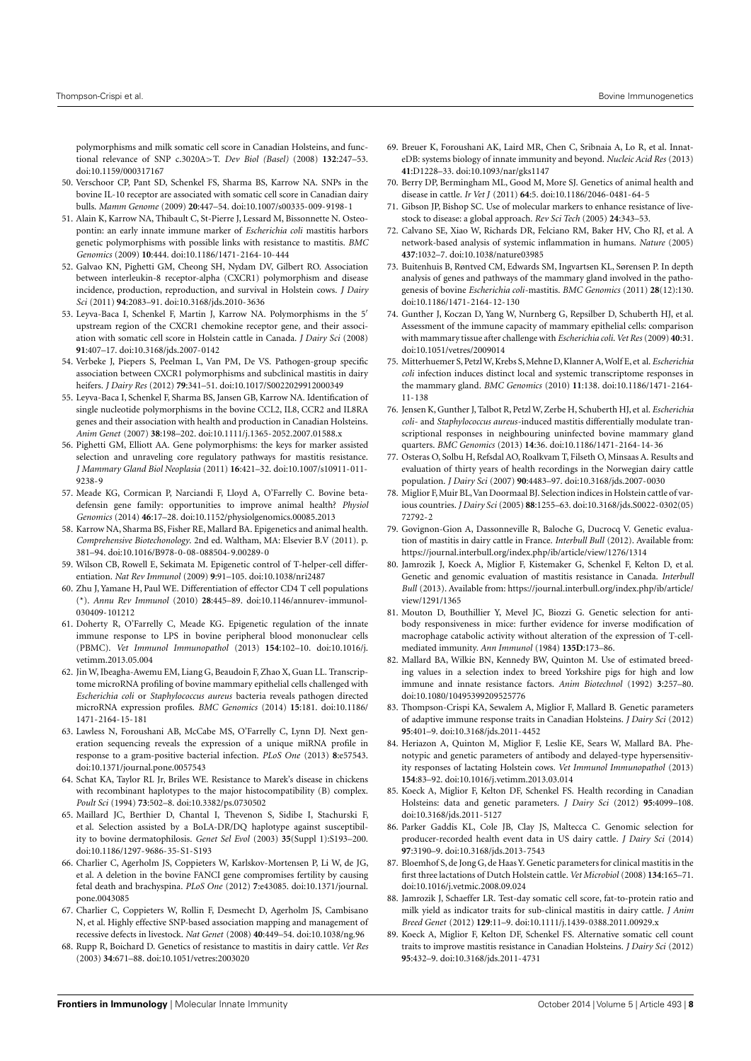polymorphisms and milk somatic cell score in Canadian Holsteins, and functional relevance of SNP c.3020A>T. *Dev Biol (Basel)* (2008) **132**:247–53. doi[:10.1159/000317167](http://dx.doi.org/10.1159/000317167)

- <span id="page-7-0"></span>50. Verschoor CP, Pant SD, Schenkel FS, Sharma BS, Karrow NA. SNPs in the bovine IL-10 receptor are associated with somatic cell score in Canadian dairy bulls. *Mamm Genome* (2009) **20**:447–54. doi[:10.1007/s00335-009-9198-1](http://dx.doi.org/10.1007/s00335-009-9198-1)
- <span id="page-7-1"></span>51. Alain K, Karrow NA, Thibault C, St-Pierre J, Lessard M, Bissonnette N. Osteopontin: an early innate immune marker of *Escherichia coli* mastitis harbors genetic polymorphisms with possible links with resistance to mastitis. *BMC Genomics* (2009) **10**:444. doi[:10.1186/1471-2164-10-444](http://dx.doi.org/10.1186/1471-2164-10-444)
- <span id="page-7-2"></span>52. Galvao KN, Pighetti GM, Cheong SH, Nydam DV, Gilbert RO. Association between interleukin-8 receptor-alpha (CXCR1) polymorphism and disease incidence, production, reproduction, and survival in Holstein cows. *J Dairy Sci* (2011) **94**:2083–91. doi[:10.3168/jds.2010-3636](http://dx.doi.org/10.3168/jds.2010-3636)
- 53. Leyva-Baca I, Schenkel F, Martin J, Karrow NA. Polymorphisms in the 5' upstream region of the CXCR1 chemokine receptor gene, and their association with somatic cell score in Holstein cattle in Canada. *J Dairy Sci* (2008) **91**:407–17. doi[:10.3168/jds.2007-0142](http://dx.doi.org/10.3168/jds.2007-0142)
- <span id="page-7-3"></span>54. Verbeke J, Piepers S, Peelman L, Van PM, De VS. Pathogen-group specific association between CXCR1 polymorphisms and subclinical mastitis in dairy heifers. *J Dairy Res* (2012) **79**:341–51. doi[:10.1017/S0022029912000349](http://dx.doi.org/10.1017/S0022029912000349)
- <span id="page-7-4"></span>55. Leyva-Baca I, Schenkel F, Sharma BS, Jansen GB, Karrow NA. Identification of single nucleotide polymorphisms in the bovine CCL2, IL8, CCR2 and IL8RA genes and their association with health and production in Canadian Holsteins. *Anim Genet* (2007) **38**:198–202. doi[:10.1111/j.1365-2052.2007.01588.x](http://dx.doi.org/10.1111/j.1365-2052.2007.01588.x)
- <span id="page-7-5"></span>56. Pighetti GM, Elliott AA. Gene polymorphisms: the keys for marker assisted selection and unraveling core regulatory pathways for mastitis resistance. *J Mammary Gland Biol Neoplasia* (2011) **16**:421–32. doi[:10.1007/s10911-011-](http://dx.doi.org/10.1007/s10911-011-9238-9) [9238-9](http://dx.doi.org/10.1007/s10911-011-9238-9)
- <span id="page-7-6"></span>57. Meade KG, Cormican P, Narciandi F, Lloyd A, O'Farrelly C. Bovine betadefensin gene family: opportunities to improve animal health? *Physiol Genomics* (2014) **46**:17–28. doi[:10.1152/physiolgenomics.00085.2013](http://dx.doi.org/10.1152/physiolgenomics.00085.2013)
- <span id="page-7-7"></span>58. Karrow NA, Sharma BS, Fisher RE, Mallard BA. Epigenetics and animal health. *Comprehensive Biotechonology*. 2nd ed. Waltham, MA: Elsevier B.V (2011). p. 381–94. doi[:10.1016/B978-0-08-088504-9.00289-0](http://dx.doi.org/10.1016/B978-0-08-088504-9.00289-0)
- <span id="page-7-8"></span>59. Wilson CB, Rowell E, Sekimata M. Epigenetic control of T-helper-cell differentiation. *Nat Rev Immunol* (2009) **9**:91–105. doi[:10.1038/nri2487](http://dx.doi.org/10.1038/nri2487)
- <span id="page-7-9"></span>60. Zhu J, Yamane H, Paul WE. Differentiation of effector CD4 T cell populations (\*). *Annu Rev Immunol* (2010) **28**:445–89. doi[:10.1146/annurev-immunol-](http://dx.doi.org/10.1146/annurev-immunol-030409-101212)[030409-101212](http://dx.doi.org/10.1146/annurev-immunol-030409-101212)
- <span id="page-7-10"></span>61. Doherty R, O'Farrelly C, Meade KG. Epigenetic regulation of the innate immune response to LPS in bovine peripheral blood mononuclear cells (PBMC). *Vet Immunol Immunopathol* (2013) **154**:102–10. doi[:10.1016/j.](http://dx.doi.org/10.1016/j.vetimm.2013.05.004) [vetimm.2013.05.004](http://dx.doi.org/10.1016/j.vetimm.2013.05.004)
- <span id="page-7-11"></span>62. Jin W, Ibeagha-Awemu EM, Liang G, Beaudoin F, Zhao X, Guan LL. Transcriptome microRNA profiling of bovine mammary epithelial cells challenged with *Escherichia coli* or *Staphylococcus aureus* bacteria reveals pathogen directed microRNA expression profiles. *BMC Genomics* (2014) **15**:181. doi[:10.1186/](http://dx.doi.org/10.1186/1471-2164-15-181) [1471-2164-15-181](http://dx.doi.org/10.1186/1471-2164-15-181)
- <span id="page-7-12"></span>63. Lawless N, Foroushani AB, McCabe MS, O'Farrelly C, Lynn DJ. Next generation sequencing reveals the expression of a unique miRNA profile in response to a gram-positive bacterial infection. *PLoS One* (2013) **8**:e57543. doi[:10.1371/journal.pone.0057543](http://dx.doi.org/10.1371/journal.pone.0057543)
- <span id="page-7-13"></span>64. Schat KA, Taylor RL Jr, Briles WE. Resistance to Marek's disease in chickens with recombinant haplotypes to the major histocompatibility (B) complex. *Poult Sci* (1994) **73**:502–8. doi[:10.3382/ps.0730502](http://dx.doi.org/10.3382/ps.0730502)
- <span id="page-7-14"></span>65. Maillard JC, Berthier D, Chantal I, Thevenon S, Sidibe I, Stachurski F, et al. Selection assisted by a BoLA-DR/DQ haplotype against susceptibility to bovine dermatophilosis. *Genet Sel Evol* (2003) **35**(Suppl 1):S193–200. doi[:10.1186/1297-9686-35-S1-S193](http://dx.doi.org/10.1186/1297-9686-35-S1-S193)
- <span id="page-7-15"></span>66. Charlier C, Agerholm JS, Coppieters W, Karlskov-Mortensen P, Li W, de JG, et al. A deletion in the bovine FANCI gene compromises fertility by causing fetal death and brachyspina. *PLoS One* (2012) **7**:e43085. doi[:10.1371/journal.](http://dx.doi.org/10.1371/journal.pone.0043085) [pone.0043085](http://dx.doi.org/10.1371/journal.pone.0043085)
- <span id="page-7-16"></span>67. Charlier C, Coppieters W, Rollin F, Desmecht D, Agerholm JS, Cambisano N, et al. Highly effective SNP-based association mapping and management of recessive defects in livestock. *Nat Genet* (2008) **40**:449–54. doi[:10.1038/ng.96](http://dx.doi.org/10.1038/ng.96)
- <span id="page-7-17"></span>68. Rupp R, Boichard D. Genetics of resistance to mastitis in dairy cattle. *Vet Res* (2003) **34**:671–88. doi[:10.1051/vetres:2003020](http://dx.doi.org/10.1051/vetres:2003020)
- <span id="page-7-18"></span>69. Breuer K, Foroushani AK, Laird MR, Chen C, Sribnaia A, Lo R, et al. InnateDB: systems biology of innate immunity and beyond. *Nucleic Acid Res* (2013) **41**:D1228–33. doi[:10.1093/nar/gks1147](http://dx.doi.org/10.1093/nar/gks1147)
- <span id="page-7-19"></span>70. Berry DP, Bermingham ML, Good M, More SJ. Genetics of animal health and disease in cattle. *Ir Vet J* (2011) **64**:5. doi[:10.1186/2046-0481-64-5](http://dx.doi.org/10.1186/2046-0481-64-5)
- <span id="page-7-20"></span>71. Gibson JP, Bishop SC. Use of molecular markers to enhance resistance of livestock to disease: a global approach. *Rev Sci Tech* (2005) **24**:343–53.
- <span id="page-7-21"></span>72. Calvano SE, Xiao W, Richards DR, Felciano RM, Baker HV, Cho RJ, et al. A network-based analysis of systemic inflammation in humans. *Nature* (2005) **437**:1032–7. doi[:10.1038/nature03985](http://dx.doi.org/10.1038/nature03985)
- <span id="page-7-22"></span>73. Buitenhuis B, Røntved CM, Edwards SM, Ingvartsen KL, Sørensen P. In depth analysis of genes and pathways of the mammary gland involved in the pathogenesis of bovine *Escherichia coli*-mastitis. *BMC Genomics* (2011) **28**(12):130. doi[:10.1186/1471-2164-12-130](http://dx.doi.org/10.1186/1471-2164-12-130)
- <span id="page-7-23"></span>74. Gunther J, Koczan D, Yang W, Nurnberg G, Repsilber D, Schuberth HJ, et al. Assessment of the immune capacity of mammary epithelial cells: comparison with mammary tissue after challenge with *Escherichia coli*.*Vet Res* (2009) **40**:31. doi[:10.1051/vetres/2009014](http://dx.doi.org/10.1051/vetres/2009014)
- 75. Mitterhuemer S, Petzl W, Krebs S, Mehne D, Klanner A,Wolf E, et al. *Escherichia coli* infection induces distinct local and systemic transcriptome responses in the mammary gland. *BMC Genomics* (2010) **11**:138. doi[:10.1186/1471-2164-](http://dx.doi.org/10.1186/1471-2164-11-138) [11-138](http://dx.doi.org/10.1186/1471-2164-11-138)
- <span id="page-7-24"></span>76. Jensen K, Gunther J, Talbot R, Petzl W, Zerbe H, Schuberth HJ, et al. *Escherichia coli*- and *Staphylococcus aureus*-induced mastitis differentially modulate transcriptional responses in neighbouring uninfected bovine mammary gland quarters. *BMC Genomics* (2013) **14**:36. doi[:10.1186/1471-2164-14-36](http://dx.doi.org/10.1186/1471-2164-14-36)
- <span id="page-7-25"></span>77. Osteras O, Solbu H, Refsdal AO, Roalkvam T, Filseth O, Minsaas A. Results and evaluation of thirty years of health recordings in the Norwegian dairy cattle population. *J Dairy Sci* (2007) **90**:4483–97. doi[:10.3168/jds.2007-0030](http://dx.doi.org/10.3168/jds.2007-0030)
- <span id="page-7-26"></span>78. Miglior F, Muir BL,Van Doormaal BJ. Selection indices in Holstein cattle of various countries. *J Dairy Sci* (2005) **88**:1255–63. doi[:10.3168/jds.S0022-0302\(05\)](http://dx.doi.org/10.3168/jds.S0022-0302(05)72792-2) [72792-2](http://dx.doi.org/10.3168/jds.S0022-0302(05)72792-2)
- <span id="page-7-27"></span>79. Govignon-Gion A, Dassonneville R, Baloche G, Ducrocq V. Genetic evaluation of mastitis in dairy cattle in France. *Interbull Bull* (2012). Available from: <https://journal.interbull.org/index.php/ib/article/view/1276/1314>
- <span id="page-7-28"></span>80. Jamrozik J, Koeck A, Miglior F, Kistemaker G, Schenkel F, Kelton D, et al. Genetic and genomic evaluation of mastitis resistance in Canada. *Interbull Bull* (2013). Available from: [https://journal.interbull.org/index.php/ib/article/](https://journal.interbull.org/index.php/ib/article/view/1291/1365) [view/1291/1365](https://journal.interbull.org/index.php/ib/article/view/1291/1365)
- <span id="page-7-29"></span>81. Mouton D, Bouthillier Y, Mevel JC, Biozzi G. Genetic selection for antibody responsiveness in mice: further evidence for inverse modification of macrophage catabolic activity without alteration of the expression of T-cellmediated immunity. *Ann Immunol* (1984) **135D**:173–86.
- 82. Mallard BA, Wilkie BN, Kennedy BW, Quinton M. Use of estimated breeding values in a selection index to breed Yorkshire pigs for high and low immune and innate resistance factors. *Anim Biotechnol* (1992) **3**:257–80. doi[:10.1080/10495399209525776](http://dx.doi.org/10.1080/10495399209525776)
- <span id="page-7-35"></span>83. Thompson-Crispi KA, Sewalem A, Miglior F, Mallard B. Genetic parameters of adaptive immune response traits in Canadian Holsteins. *J Dairy Sci* (2012) **95**:401–9. doi[:10.3168/jds.2011-4452](http://dx.doi.org/10.3168/jds.2011-4452)
- <span id="page-7-30"></span>84. Heriazon A, Quinton M, Miglior F, Leslie KE, Sears W, Mallard BA. Phenotypic and genetic parameters of antibody and delayed-type hypersensitivity responses of lactating Holstein cows. *Vet Immunol Immunopathol* (2013) **154**:83–92. doi[:10.1016/j.vetimm.2013.03.014](http://dx.doi.org/10.1016/j.vetimm.2013.03.014)
- <span id="page-7-31"></span>85. Koeck A, Miglior F, Kelton DF, Schenkel FS. Health recording in Canadian Holsteins: data and genetic parameters. *J Dairy Sci* (2012) **95**:4099–108. doi[:10.3168/jds.2011-5127](http://dx.doi.org/10.3168/jds.2011-5127)
- <span id="page-7-32"></span>86. Parker Gaddis KL, Cole JB, Clay JS, Maltecca C. Genomic selection for producer-recorded health event data in US dairy cattle. *J Dairy Sci* (2014) **97**:3190–9. doi[:10.3168/jds.2013-7543](http://dx.doi.org/10.3168/jds.2013-7543)
- <span id="page-7-33"></span>87. Bloemhof S, de Jong G, de Haas Y. Genetic parameters for clinical mastitis in the first three lactations of Dutch Holstein cattle.*Vet Microbiol* (2008) **134**:165–71. doi[:10.1016/j.vetmic.2008.09.024](http://dx.doi.org/10.1016/j.vetmic.2008.09.024)
- <span id="page-7-36"></span>88. Jamrozik J, Schaeffer LR. Test-day somatic cell score, fat-to-protein ratio and milk yield as indicator traits for sub-clinical mastitis in dairy cattle. *J Anim Breed Genet* (2012) **129**:11–9. doi[:10.1111/j.1439-0388.2011.00929.x](http://dx.doi.org/10.1111/j.1439-0388.2011.00929.x)
- <span id="page-7-34"></span>89. Koeck A, Miglior F, Kelton DF, Schenkel FS. Alternative somatic cell count traits to improve mastitis resistance in Canadian Holsteins. *J Dairy Sci* (2012) **95**:432–9. doi[:10.3168/jds.2011-4731](http://dx.doi.org/10.3168/jds.2011-4731)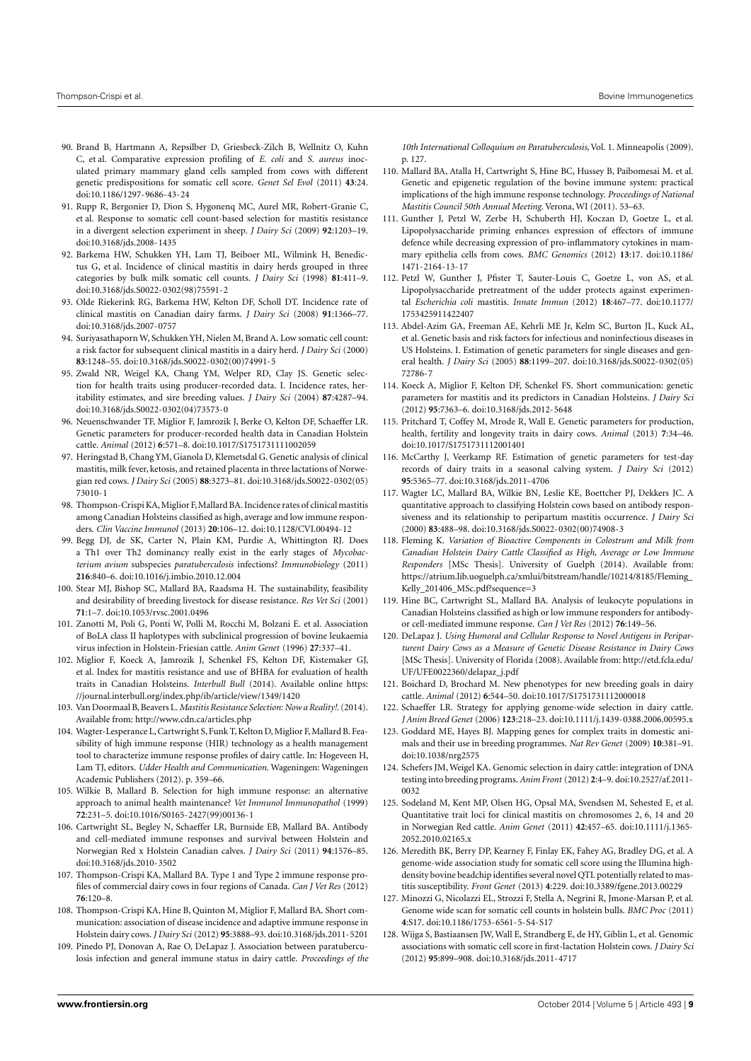- <span id="page-8-0"></span>90. Brand B, Hartmann A, Repsilber D, Griesbeck-Zilch B, Wellnitz O, Kuhn C, et al. Comparative expression profiling of *E. coli* and *S. aureus* inoculated primary mammary gland cells sampled from cows with different genetic predispositions for somatic cell score. *Genet Sel Evol* (2011) **43**:24. doi[:10.1186/1297-9686-43-24](http://dx.doi.org/10.1186/1297-9686-43-24)
- <span id="page-8-1"></span>91. Rupp R, Bergonier D, Dion S, Hygonenq MC, Aurel MR, Robert-Granie C, et al. Response to somatic cell count-based selection for mastitis resistance in a divergent selection experiment in sheep. *J Dairy Sci* (2009) **92**:1203–19. doi[:10.3168/jds.2008-1435](http://dx.doi.org/10.3168/jds.2008-1435)
- <span id="page-8-2"></span>92. Barkema HW, Schukken YH, Lam TJ, Beiboer ML, Wilmink H, Benedictus G, et al. Incidence of clinical mastitis in dairy herds grouped in three categories by bulk milk somatic cell counts. *J Dairy Sci* (1998) **81**:411–9. doi[:10.3168/jds.S0022-0302\(98\)75591-2](http://dx.doi.org/10.3168/jds.S0022-0302(98)75591-2)
- <span id="page-8-3"></span>93. Olde Riekerink RG, Barkema HW, Kelton DF, Scholl DT. Incidence rate of clinical mastitis on Canadian dairy farms. *J Dairy Sci* (2008) **91**:1366–77. doi[:10.3168/jds.2007-0757](http://dx.doi.org/10.3168/jds.2007-0757)
- <span id="page-8-4"></span>94. Suriyasathaporn W, Schukken YH, Nielen M, Brand A. Low somatic cell count: a risk factor for subsequent clinical mastitis in a dairy herd. *J Dairy Sci* (2000) **83**:1248–55. doi[:10.3168/jds.S0022-0302\(00\)74991-5](http://dx.doi.org/10.3168/jds.S0022-0302(00)74991-5)
- <span id="page-8-5"></span>95. Zwald NR, Weigel KA, Chang YM, Welper RD, Clay JS. Genetic selection for health traits using producer-recorded data. I. Incidence rates, heritability estimates, and sire breeding values. *J Dairy Sci* (2004) **87**:4287–94. doi[:10.3168/jds.S0022-0302\(04\)73573-0](http://dx.doi.org/10.3168/jds.S0022-0302(04)73573-0)
- <span id="page-8-6"></span>96. Neuenschwander TF, Miglior F, Jamrozik J, Berke O, Kelton DF, Schaeffer LR. Genetic parameters for producer-recorded health data in Canadian Holstein cattle. *Animal* (2012) **6**:571–8. doi[:10.1017/S1751731111002059](http://dx.doi.org/10.1017/S1751731111002059)
- <span id="page-8-7"></span>97. Heringstad B, Chang YM, Gianola D, Klemetsdal G. Genetic analysis of clinical mastitis, milk fever, ketosis, and retained placenta in three lactations of Norwegian red cows. *J Dairy Sci* (2005) **88**:3273–81. doi[:10.3168/jds.S0022-0302\(05\)](http://dx.doi.org/10.3168/jds.S0022-0302(05)73010-1) [73010-1](http://dx.doi.org/10.3168/jds.S0022-0302(05)73010-1)
- <span id="page-8-8"></span>98. Thompson-Crispi KA, Miglior F, Mallard BA. Incidence rates of clinical mastitis among Canadian Holsteins classified as high, average and low immune responders. *Clin Vaccine Immunol* (2013) **20**:106–12. doi[:10.1128/CVI.00494-12](http://dx.doi.org/10.1128/CVI.00494-12)
- <span id="page-8-9"></span>99. Begg DJ, de SK, Carter N, Plain KM, Purdie A, Whittington RJ. Does a Th1 over Th2 dominancy really exist in the early stages of *Mycobacterium avium* subspecies *paratuberculosis* infections? *Immunobiology* (2011) **216**:840–6. doi[:10.1016/j.imbio.2010.12.004](http://dx.doi.org/10.1016/j.imbio.2010.12.004)
- <span id="page-8-10"></span>100. Stear MJ, Bishop SC, Mallard BA, Raadsma H. The sustainability, feasibility and desirability of breeding livestock for disease resistance. *Res Vet Sci* (2001) **71**:1–7. doi[:10.1053/rvsc.2001.0496](http://dx.doi.org/10.1053/rvsc.2001.0496)
- <span id="page-8-11"></span>101. Zanotti M, Poli G, Ponti W, Polli M, Rocchi M, Bolzani E. et al. Association of BoLA class II haplotypes with subclinical progression of bovine leukaemia virus infection in Holstein-Friesian cattle. *Anim Genet* (1996) **27**:337–41.
- <span id="page-8-12"></span>102. Miglior F, Koeck A, Jamrozik J, Schenkel FS, Kelton DF, Kistemaker GJ, et al. Index for mastitis resistance and use of BHBA for evaluation of health traits in Canadian Holsteins. *Interbull Bull* (2014). Available online [https:](https://journal.interbull.org/index.php/ib/article/view/1349/1420) [//journal.interbull.org/index.php/ib/article/view/1349/1420](https://journal.interbull.org/index.php/ib/article/view/1349/1420)
- <span id="page-8-13"></span>103. Van Doormaal B, Beavers L. *Mastitis Resistance Selection: Now a Reality!*. (2014). Available from: <http://www.cdn.ca/articles.php>
- <span id="page-8-14"></span>104. Wagter-Lesperance L, Cartwright S, Funk T, Kelton D, Miglior F, Mallard B. Feasibility of high immune response (HIR) technology as a health management tool to characterize immune response profiles of dairy cattle. In: Hogeveen H, Lam TJ, editors. *Udder Health and Communication*. Wageningen: Wageningen Academic Publishers (2012). p. 359–66.
- <span id="page-8-20"></span>105. Wilkie B, Mallard B. Selection for high immune response: an alternative approach to animal health maintenance? *Vet Immunol Immunopathol* (1999) **72**:231–5. doi[:10.1016/S0165-2427\(99\)00136-1](http://dx.doi.org/10.1016/S0165-2427(99)00136-1)
- <span id="page-8-15"></span>106. Cartwright SL, Begley N, Schaeffer LR, Burnside EB, Mallard BA. Antibody and cell-mediated immune responses and survival between Holstein and Norwegian Red x Holstein Canadian calves. *J Dairy Sci* (2011) **94**:1576–85. doi[:10.3168/jds.2010-3502](http://dx.doi.org/10.3168/jds.2010-3502)
- <span id="page-8-16"></span>107. Thompson-Crispi KA, Mallard BA. Type 1 and Type 2 immune response profiles of commercial dairy cows in four regions of Canada. *Can J Vet Res* (2012) **76**:120–8.
- <span id="page-8-17"></span>108. Thompson-Crispi KA, Hine B, Quinton M, Miglior F, Mallard BA. Short communication: association of disease incidence and adaptive immune response in Holstein dairy cows. *J Dairy Sci* (2012) **95**:3888–93. doi[:10.3168/jds.2011-5201](http://dx.doi.org/10.3168/jds.2011-5201)
- <span id="page-8-18"></span>109. Pinedo PJ, Donovan A, Rae O, DeLapaz J. Association between paratuberculosis infection and general immune status in dairy cattle. *Proceedings of the*

*10th International Colloquium on Paratuberculosis*, Vol. 1. Minneapolis (2009). p. 127.

- <span id="page-8-19"></span>110. Mallard BA, Atalla H, Cartwright S, Hine BC, Hussey B, Paibomesai M. et al. Genetic and epigenetic regulation of the bovine immune system: practical implications of the high immune response technology. *Proceedings of National Mastitis Council 50th Annual Meeting*. Verona, WI (2011). 53–63.
- <span id="page-8-21"></span>111. Gunther J, Petzl W, Zerbe H, Schuberth HJ, Koczan D, Goetze L, et al. Lipopolysaccharide priming enhances expression of effectors of immune defence while decreasing expression of pro-inflammatory cytokines in mammary epithelia cells from cows. *BMC Genomics* (2012) **13**:17. doi[:10.1186/](http://dx.doi.org/10.1186/1471-2164-13-17) [1471-2164-13-17](http://dx.doi.org/10.1186/1471-2164-13-17)
- <span id="page-8-22"></span>112. Petzl W, Gunther J, Pfister T, Sauter-Louis C, Goetze L, von AS, et al. Lipopolysaccharide pretreatment of the udder protects against experimental *Escherichia coli* mastitis. *Innate Immun* (2012) **18**:467–77. doi[:10.1177/](http://dx.doi.org/10.1177/1753425911422407) [1753425911422407](http://dx.doi.org/10.1177/1753425911422407)
- <span id="page-8-24"></span>113. Abdel-Azim GA, Freeman AE, Kehrli ME Jr, Kelm SC, Burton JL, Kuck AL, et al. Genetic basis and risk factors for infectious and noninfectious diseases in US Holsteins. I. Estimation of genetic parameters for single diseases and general health. *J Dairy Sci* (2005) **88**:1199–207. doi[:10.3168/jds.S0022-0302\(05\)](http://dx.doi.org/10.3168/jds.S0022-0302(05)72786-7) [72786-7](http://dx.doi.org/10.3168/jds.S0022-0302(05)72786-7)
- <span id="page-8-25"></span>114. Koeck A, Miglior F, Kelton DF, Schenkel FS. Short communication: genetic parameters for mastitis and its predictors in Canadian Holsteins. *J Dairy Sci* (2012) **95**:7363–6. doi[:10.3168/jds.2012-5648](http://dx.doi.org/10.3168/jds.2012-5648)
- <span id="page-8-26"></span>115. Pritchard T, Coffey M, Mrode R, Wall E. Genetic parameters for production, health, fertility and longevity traits in dairy cows. *Animal* (2013) **7**:34–46. doi[:10.1017/S1751731112001401](http://dx.doi.org/10.1017/S1751731112001401)
- <span id="page-8-27"></span>116. McCarthy J, Veerkamp RF. Estimation of genetic parameters for test-day records of dairy traits in a seasonal calving system. *J Dairy Sci* (2012) **95**:5365–77. doi[:10.3168/jds.2011-4706](http://dx.doi.org/10.3168/jds.2011-4706)
- <span id="page-8-23"></span>117. Wagter LC, Mallard BA, Wilkie BN, Leslie KE, Boettcher PJ, Dekkers JC. A quantitative approach to classifying Holstein cows based on antibody responsiveness and its relationship to peripartum mastitis occurrence. *J Dairy Sci* (2000) **83**:488–98. doi[:10.3168/jds.S0022-0302\(00\)74908-3](http://dx.doi.org/10.3168/jds.S0022-0302(00)74908-3)
- <span id="page-8-28"></span>118. Fleming K. *Variation of Bioactive Components in Colostrum and Milk from Canadian Holstein Dairy Cattle Classified as High, Average or Low Immune Responders* [MSc Thesis]*.* University of Guelph (2014). Available from: [https://atrium.lib.uoguelph.ca/xmlui/bitstream/handle/10214/8185/Fleming\\_](https://atrium.lib.uoguelph.ca/xmlui/bitstream/handle/10214/8185/Fleming_Kelly_201406_MSc.pdf?sequence=3) [Kelly\\_201406\\_MSc.pdf?sequence=3](https://atrium.lib.uoguelph.ca/xmlui/bitstream/handle/10214/8185/Fleming_Kelly_201406_MSc.pdf?sequence=3)
- <span id="page-8-29"></span>119. Hine BC, Cartwright SL, Mallard BA. Analysis of leukocyte populations in Canadian Holsteins classified as high or low immune responders for antibodyor cell-mediated immune response. *Can J Vet Res* (2012) **76**:149–56.
- <span id="page-8-30"></span>120. DeLapaz J. *Using Humoral and Cellular Response to Novel Antigens in Periparturent Dairy Cows as a Measure of Genetic Disease Resistance in Dairy Cows* [MSc Thesis]. University of Florida (2008). Available from: [http://etd.fcla.edu/](http://etd.fcla.edu/UF/UFE0022360/delapaz_j.pdf) [UF/UFE0022360/delapaz\\_j.pdf](http://etd.fcla.edu/UF/UFE0022360/delapaz_j.pdf)
- <span id="page-8-31"></span>121. Boichard D, Brochard M. New phenotypes for new breeding goals in dairy cattle. *Animal* (2012) **6**:544–50. doi[:10.1017/S1751731112000018](http://dx.doi.org/10.1017/S1751731112000018)
- <span id="page-8-32"></span>122. Schaeffer LR. Strategy for applying genome-wide selection in dairy cattle. *J Anim Breed Genet* (2006) **123**:218–23. doi[:10.1111/j.1439-0388.2006.00595.x](http://dx.doi.org/10.1111/j.1439-0388.2006.00595.x)
- <span id="page-8-34"></span>123. Goddard ME, Hayes BJ. Mapping genes for complex traits in domestic animals and their use in breeding programmes. *Nat Rev Genet* (2009) **10**:381–91. doi[:10.1038/nrg2575](http://dx.doi.org/10.1038/nrg2575)
- <span id="page-8-33"></span>124. Schefers JM, Weigel KA. Genomic selection in dairy cattle: integration of DNA testing into breeding programs.*Anim Front* (2012) **2**:4–9. doi[:10.2527/af.2011-](http://dx.doi.org/10.2527/af.2011-0032) [0032](http://dx.doi.org/10.2527/af.2011-0032)
- <span id="page-8-35"></span>125. Sodeland M, Kent MP, Olsen HG, Opsal MA, Svendsen M, Sehested E, et al. Quantitative trait loci for clinical mastitis on chromosomes 2, 6, 14 and 20 in Norwegian Red cattle. *Anim Genet* (2011) **42**:457–65. doi[:10.1111/j.1365-](http://dx.doi.org/10.1111/j.1365-2052.2010.02165.x) [2052.2010.02165.x](http://dx.doi.org/10.1111/j.1365-2052.2010.02165.x)
- <span id="page-8-36"></span>126. Meredith BK, Berry DP, Kearney F, Finlay EK, Fahey AG, Bradley DG, et al. A genome-wide association study for somatic cell score using the Illumina highdensity bovine beadchip identifies several novel QTL potentially related to mastitis susceptibility. *Front Genet* (2013) **4**:229. doi[:10.3389/fgene.2013.00229](http://dx.doi.org/10.3389/fgene.2013.00229)
- 127. Minozzi G, Nicolazzi EL, Strozzi F, Stella A, Negrini R, Jmone-Marsan P, et al. Genome wide scan for somatic cell counts in holstein bulls. *BMC Proc* (2011) **4**:S17. doi[:10.1186/1753-6561-5-S4-S17](http://dx.doi.org/10.1186/1753-6561-5-S4-S17)
- <span id="page-8-37"></span>128. Wijga S, Bastiaansen JW, Wall E, Strandberg E, de HY, Giblin L, et al. Genomic associations with somatic cell score in first-lactation Holstein cows. *J Dairy Sci* (2012) **95**:899–908. doi[:10.3168/jds.2011-4717](http://dx.doi.org/10.3168/jds.2011-4717)